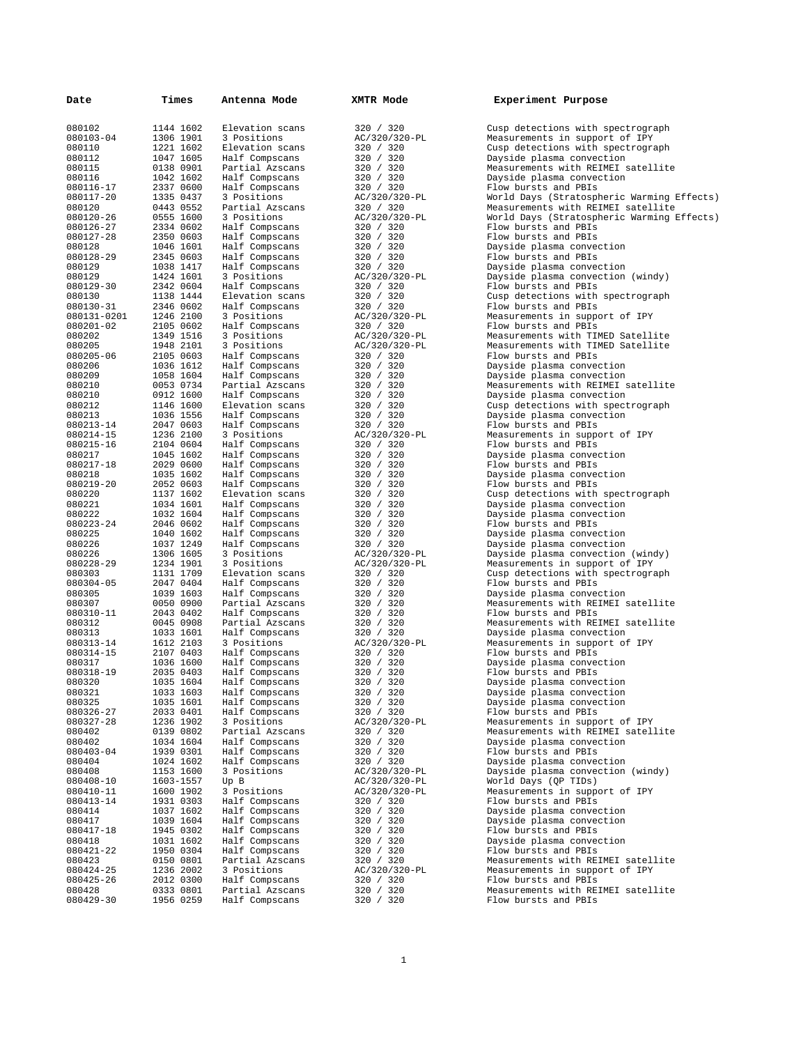| Date                     | Times                  | Antenna Mode                      | XMTR Mode                  | Experiment Purpose                                                               |
|--------------------------|------------------------|-----------------------------------|----------------------------|----------------------------------------------------------------------------------|
| 080102                   | 1144 1602              | Elevation scans                   | 320 / 320                  | Cusp detections with spectrograph                                                |
| 080103-04                | 1306 1901              | 3 Positions                       | AC/320/320-PL              | Measurements in support of IPY                                                   |
| 080110<br>080112         | 1221 1602<br>1047 1605 | Elevation scans<br>Half Compscans | 320 / 320<br>320 / 320     | Cusp detections with spectrograph<br>Dayside plasma convection                   |
| 080115                   | 0138 0901              | Partial Azscans                   | 320 / 320                  | Measurements with REIMEI satellite                                               |
| 080116                   | 1042 1602              | Half Compscans                    | 320 / 320                  | Dayside plasma convection                                                        |
| 080116-17                | 2337 0600              | Half Compscans                    | 320 / 320                  | Flow bursts and PBIs                                                             |
| 080117-20<br>080120      | 1335 0437<br>0443 0552 | 3 Positions<br>Partial Azscans    | AC/320/320-PL<br>320 / 320 | World Days (Stratospheric Warming Effects)<br>Measurements with REIMEI satellite |
| 080120-26                | 0555 1600              | 3 Positions                       | AC/320/320-PL              | World Days (Stratospheric Warming Effects)                                       |
| 080126-27                | 2334 0602              | Half Compscans                    | 320 / 320                  | Flow bursts and PBIs                                                             |
| 080127-28                | 2350 0603              | Half Compscans                    | 320 / 320                  | Flow bursts and PBIs                                                             |
| 080128                   | 1046 1601              | Half Compscans                    | 320 / 320                  | Dayside plasma convection                                                        |
| 080128-29<br>080129      | 2345 0603<br>1038 1417 | Half Compscans<br>Half Compscans  | 320 / 320<br>320 / 320     | Flow bursts and PBIs<br>Dayside plasma convection                                |
| 080129                   | 1424 1601              | 3 Positions                       | AC/320/320-PL              | Dayside plasma convection (windy)                                                |
| 080129-30                | 2342 0604              | Half Compscans                    | 320 / 320                  | Flow bursts and PBIs                                                             |
| 080130                   | 1138 1444              | Elevation scans                   | 320 / 320                  | Cusp detections with spectrograph                                                |
| 080130-31                | 2346 0602              | Half Compscans                    | 320 / 320                  | Flow bursts and PBIs                                                             |
| 080131-0201<br>080201-02 | 1246 2100<br>2105 0602 | 3 Positions<br>Half Compscans     | AC/320/320-PL<br>320 / 320 | Measurements in support of IPY<br>Flow bursts and PBIs                           |
| 080202                   | 1349 1516              | 3 Positions                       | AC/320/320-PL              | Measurements with TIMED Satellite                                                |
| 080205                   | 1948 2101              | 3 Positions                       | AC/320/320-PL              | Measurements with TIMED Satellite                                                |
| 080205-06                | 2105 0603              | Half Compscans                    | 320 / 320                  | Flow bursts and PBIs                                                             |
| 080206                   | 1036 1612              | Half Compscans                    | 320 / 320                  | Dayside plasma convection                                                        |
| 080209                   | 1058 1604              | Half Compscans                    | 320 / 320                  | Dayside plasma convection                                                        |
| 080210<br>080210         | 0053 0734<br>0912 1600 | Partial Azscans<br>Half Compscans | 320 / 320<br>320 / 320     | Measurements with REIMEI satellite<br>Dayside plasma convection                  |
| 080212                   | 1146 1600              | Elevation scans                   | 320 / 320                  | Cusp detections with spectrograph                                                |
| 080213                   | 1036 1556              | Half Compscans                    | 320 / 320                  | Dayside plasma convection                                                        |
| 080213-14                | 2047 0603              | Half Compscans                    | 320 / 320                  | Flow bursts and PBIs                                                             |
| 080214-15                | 1236 2100              | 3 Positions                       | AC/320/320-PL              | Measurements in support of IPY                                                   |
| 080215-16<br>080217      | 2104 0604<br>1045 1602 | Half Compscans<br>Half Compscans  | 320 / 320<br>320 / 320     | Flow bursts and PBIs<br>Dayside plasma convection                                |
| 080217-18                | 2029 0600              | Half Compscans                    | 320 / 320                  | Flow bursts and PBIs                                                             |
| 080218                   | 1035 1602              | Half Compscans                    | 320 / 320                  | Dayside plasma convection                                                        |
| 080219-20                | 2052 0603              | Half Compscans                    | 320 / 320                  | Flow bursts and PBIs                                                             |
| 080220                   | 1137 1602              | Elevation scans                   | 320 / 320                  | Cusp detections with spectrograph                                                |
| 080221<br>080222         | 1034 1601<br>1032 1604 | Half Compscans                    | 320 / 320<br>320 / 320     | Dayside plasma convection<br>Dayside plasma convection                           |
| 080223-24                | 2046 0602              | Half Compscans<br>Half Compscans  | 320 / 320                  | Flow bursts and PBIs                                                             |
| 080225                   | 1040 1602              | Half Compscans                    | 320 / 320                  | Dayside plasma convection                                                        |
| 080226                   | 1037 1249              | Half Compscans                    | 320 / 320                  | Dayside plasma convection                                                        |
| 080226                   | 1306 1605              | 3 Positions                       | AC/320/320-PL              | Dayside plasma convection (windy)                                                |
| 080228-29<br>080303      | 1234 1901<br>1131 1709 | 3 Positions<br>Elevation scans    | AC/320/320-PL<br>320 / 320 | Measurements in support of IPY<br>Cusp detections with spectrograph              |
| 080304-05                | 2047 0404              | Half Compscans                    | 320 / 320                  | Flow bursts and PBIs                                                             |
| 080305                   | 1039 1603              | Half Compscans                    | 320 / 320                  | Dayside plasma convection                                                        |
| 080307                   | 0050 0900              | Partial Azscans                   | 320 / 320                  | Measurements with REIMEI satellite                                               |
| 080310-11                | 2043 0402              | Half Compscans                    | 320 / 320                  | Flow bursts and PBIs                                                             |
| 080312<br>080313         | 0045 0908<br>1033 1601 | Partial Azscans<br>Half Compscans | 320 / 320<br>320 / 320     | Measurements with REIMEI satellite<br>Dayside plasma convection                  |
| 080313-14                | 1612 2103              | 3 Positions                       | AC/320/320-PL              | Measurements in support of IPY                                                   |
| 080314-15                | 2107 0403              | Half Compscans                    | 320 / 320                  | Flow bursts and PBIs                                                             |
| 080317                   | 1036 1600              | Half Compscans                    | 320 / 320                  | Dayside plasma convection                                                        |
| 080318-19                | 2035 0403              | Half Compscans                    | 320 / 320                  | Flow bursts and PBIs                                                             |
| 080320<br>080321         | 1035 1604<br>1033 1603 | Half Compscans<br>Half Compscans  | 320 / 320<br>320 / 320     | Dayside plasma convection<br>Dayside plasma convection                           |
| 080325                   | 1035 1601              | Half Compscans                    | 320 / 320                  | Dayside plasma convection                                                        |
| 080326-27                | 2033 0401              | Half Compscans                    | 320 / 320                  | Flow bursts and PBIs                                                             |
| 080327-28                | 1236 1902              | 3 Positions                       | AC/320/320-PL              | Measurements in support of IPY                                                   |
| 080402                   | 0139 0802              | Partial Azscans                   | 320 / 320                  | Measurements with REIMEI satellite                                               |
| 080402<br>080403-04      | 1034 1604<br>1939 0301 | Half Compscans<br>Half Compscans  | 320 / 320<br>320 / 320     | Dayside plasma convection<br>Flow bursts and PBIs                                |
| 080404                   | 1024 1602              | Half Compscans                    | 320 / 320                  | Dayside plasma convection                                                        |
| 080408                   | 1153 1600              | 3 Positions                       | AC/320/320-PL              | Dayside plasma convection (windy)                                                |
| 080408-10                | 1603-1557              | Up B                              | AC/320/320-PL              | World Days (QP TIDs)                                                             |
| 080410-11                | 1600 1902              | 3 Positions                       | AC/320/320-PL              | Measurements in support of IPY                                                   |
| 080413-14<br>080414      | 1931 0303<br>1037 1602 | Half Compscans<br>Half Compscans  | 320 / 320<br>320 / 320     | Flow bursts and PBIs<br>Dayside plasma convection                                |
| 080417                   | 1039 1604              | Half Compscans                    | 320 / 320                  | Dayside plasma convection                                                        |
| 080417-18                | 1945 0302              | Half Compscans                    | 320 / 320                  | Flow bursts and PBIs                                                             |
| 080418                   | 1031 1602              | Half Compscans                    | 320 / 320                  | Dayside plasma convection                                                        |
| 080421-22                | 1950 0304              | Half Compscans                    | 320 / 320                  | Flow bursts and PBIs                                                             |
| 080423<br>080424-25      | 0150 0801<br>1236 2002 | Partial Azscans<br>3 Positions    | 320 / 320<br>AC/320/320-PL | Measurements with REIMEI satellite<br>Measurements in support of IPY             |
| 080425-26                | 2012 0300              | Half Compscans                    | 320 / 320                  | Flow bursts and PBIs                                                             |
| 080428                   | 0333 0801              | Partial Azscans                   | 320 / 320                  | Measurements with REIMEI satellite                                               |
| 080429-30                | 1956 0259              | Half Compscans                    | 320 / 320                  | Flow bursts and PBIs                                                             |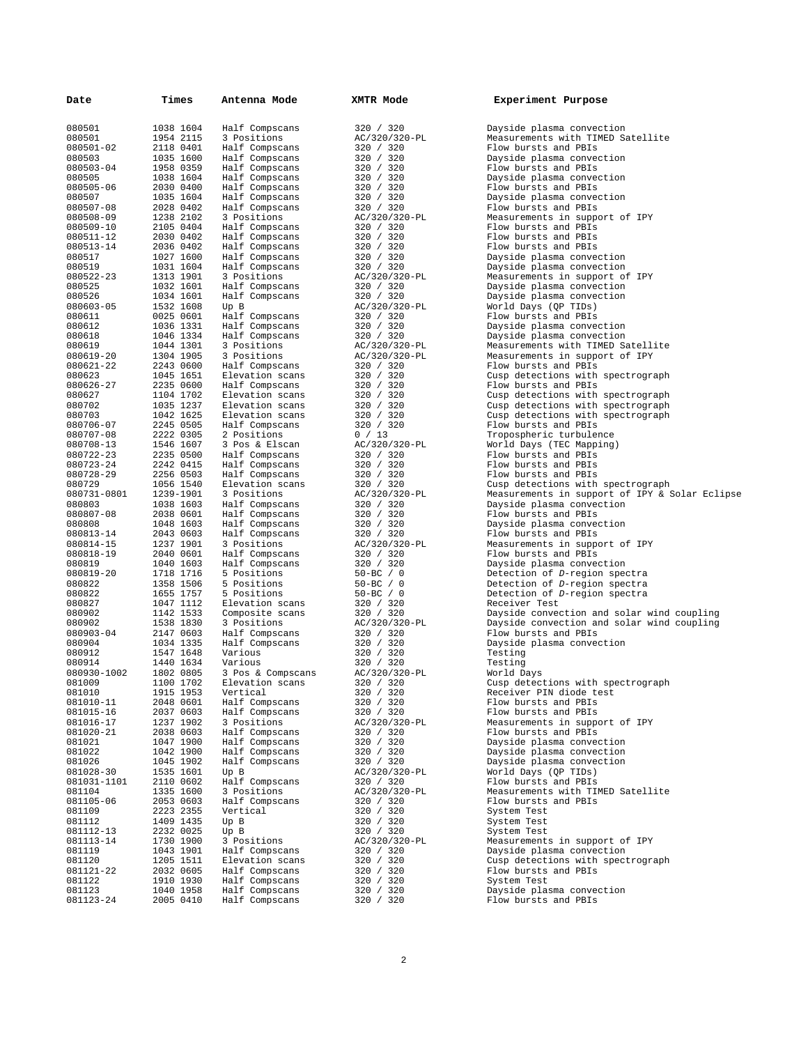| 080501<br>1038 1604<br>Half Compscans<br>320 / 320<br>Dayside plasma convection<br>080501<br>1954 2115<br>3 Positions<br>AC/320/320-PL<br>Measurements with TIMED Satellite<br>080501-02<br>2118 0401<br>Half Compscans<br>320 / 320<br>Flow bursts and PBIs<br>080503<br>1035 1600<br>Half Compscans<br>320 / 320<br>Dayside plasma convection<br>080503-04<br>1958 0359<br>Half Compscans<br>320 / 320<br>Flow bursts and PBIs<br>080505<br>1038 1604<br>320 / 320<br>Dayside plasma convection<br>Half Compscans<br>080505-06<br>2030 0400<br>Half Compscans<br>320 / 320<br>Flow bursts and PBIs<br>080507<br>1035 1604<br>Half Compscans<br>320 / 320<br>Dayside plasma convection<br>080507-08<br>2028 0402<br>Half Compscans<br>320 / 320<br>Flow bursts and PBIs<br>080508-09<br>1238 2102<br>3 Positions<br>AC/320/320-PL<br>Measurements in support of IPY<br>080509-10<br>2105 0404<br>Half Compscans<br>320 / 320<br>Flow bursts and PBIs<br>080511-12<br>2030 0402<br>Half Compscans<br>320 / 320<br>Flow bursts and PBIs<br>080513-14<br>2036 0402<br>Half Compscans<br>320 / 320<br>Flow bursts and PBIs<br>080517<br>1027 1600<br>320 / 320<br>Dayside plasma convection<br>Half Compscans<br>080519<br>1031 1604<br>320 / 320<br>Dayside plasma convection<br>Half Compscans<br>080522-23<br>1313 1901<br>3 Positions<br>AC/320/320-PL<br>Measurements in support of IPY<br>080525<br>1032 1601<br>320 / 320<br>Dayside plasma convection<br>Half Compscans<br>080526<br>1034 1601<br>320 / 320<br>Dayside plasma convection<br>Half Compscans<br>080603-05<br>1532 1608<br>AC/320/320-PL<br>World Days (QP TIDs)<br>Up B<br>0025 0601<br>320 / 320<br>Flow bursts and PBIs<br>080611<br>Half Compscans<br>080612<br>1036 1331<br>320 / 320<br>Dayside plasma convection<br>Half Compscans<br>080618<br>1046 1334<br>320 / 320<br>Dayside plasma convection<br>Half Compscans<br>080619<br>1044 1301<br>3 Positions<br>AC/320/320-PL<br>Measurements with TIMED Satellite<br>080619-20<br>1304 1905<br>3 Positions<br>AC/320/320-PL<br>Measurements in support of IPY<br>080621-22<br>2243 0600<br>Half Compscans<br>320 / 320<br>Flow bursts and PBIs<br>080623<br>1045 1651<br>Elevation scans<br>320 / 320<br>Cusp detections with spectrograph<br>080626-27<br>2235 0600<br>320 / 320<br>Half Compscans<br>Flow bursts and PBIs<br>080627<br>1104 1702<br>320 / 320<br>Elevation scans<br>Cusp detections with spectrograph<br>080702<br>1035 1237<br>Elevation scans<br>320 / 320<br>Cusp detections with spectrograph<br>080703<br>1042 1625<br>Elevation scans<br>320 / 320<br>Cusp detections with spectrograph<br>080706-07<br>2245 0505<br>Half Compscans<br>320 / 320<br>Flow bursts and PBIs<br>080707-08<br>2222 0305<br>2 Positions<br>0 / 13<br>Tropospheric turbulence<br>080708-13<br>1546 1607<br>3 Pos & Elscan<br>AC/320/320-PL<br>World Days (TEC Mapping)<br>080722-23<br>2235 0500<br>Half Compscans<br>320 / 320<br>Flow bursts and PBIs<br>080723-24<br>2242 0415<br>Half Compscans<br>320 / 320<br>Flow bursts and PBIs<br>080728-29<br>2256 0503<br>Half Compscans<br>320 / 320<br>Flow bursts and PBIs<br>080729<br>1056 1540<br>Elevation scans<br>320 / 320<br>Cusp detections with spectrograph<br>080731-0801<br>1239-1901<br>3 Positions<br>AC/320/320-PL<br>Measurements in support of IPY & S<br>080803<br>1038 1603<br>320 / 320<br>Dayside plasma convection<br>Half Compscans<br>080807-08<br>2038 0601<br>320 / 320<br>Flow bursts and PBIs<br>Half Compscans<br>080808<br>1048 1603<br>Half Compscans<br>320 / 320<br>Dayside plasma convection<br>080813-14<br>2043 0603<br>320 / 320<br>Flow bursts and PBIs<br>Half Compscans<br>080814-15<br>1237 1901<br>3 Positions<br>AC/320/320-PL<br>Measurements in support of IPY<br>080818-19<br>2040 0601<br>320 / 320<br>Flow bursts and PBIs<br>Half Compscans<br>080819<br>1040 1603<br>Half Compscans<br>320 / 320<br>Dayside plasma convection<br>080819-20<br>1718 1716<br>$50 - BC / 0$<br>Detection of D-region spectra<br>5 Positions<br>080822<br>1358 1506<br>5 Positions<br>$50 - BC / 0$<br>Detection of D-region spectra<br>$50 - BC / 0$<br>1655 1757<br>5 Positions<br>Detection of D-region spectra<br>080822<br>1047 1112<br>080827<br>Elevation scans<br>320 / 320<br>Receiver Test<br>080902<br>1142 1533<br>320 / 320<br>Dayside convection and solar wind<br>Composite scans<br>080902<br>1538 1830<br>Dayside convection and solar wind<br>3 Positions<br>AC/320/320-PL<br>080903-04<br>2147 0603<br>320 / 320<br>Flow bursts and PBIs<br>Half Compscans<br>080904<br>1034 1335<br>Half Compscans<br>320 / 320<br>Dayside plasma convection<br>080912<br>1547 1648<br>320 / 320<br>Various<br>Testing<br>1440 1634<br>Various<br>080914<br>320 / 320<br>Testing<br>080930-1002<br>1802 0805<br>AC/320/320-PL<br>World Days<br>3 Pos & Compscans<br>081009<br>1100 1702<br>Cusp detections with spectrograph<br>Elevation scans<br>320 / 320<br>081010<br>1915 1953<br>Vertical<br>320 / 320<br>Receiver PIN diode test<br>081010-11<br>2048 0601<br>Half Compscans<br>320 / 320<br>Flow bursts and PBIs<br>320 / 320<br>2037 0603<br>Half Compscans<br>Flow bursts and PBIs<br>081015-16<br>1237 1902<br>3 Positions<br>Measurements in support of IPY<br>081016-17<br>AC/320/320-PL<br>081020-21<br>2038 0603<br>Half Compscans<br>320 / 320<br>Flow bursts and PBIs<br>081021<br>1047 1900<br>Half Compscans<br>320 / 320<br>Dayside plasma convection<br>320 / 320<br>Dayside plasma convection<br>081022<br>1042 1900<br>Half Compscans<br>Dayside plasma convection<br>081026<br>1045 1902<br>Half Compscans<br>320 / 320<br>World Days (QP TIDs)<br>081028-30<br>1535 1601<br>Up B<br>AC/320/320-PL<br>Flow bursts and PBIs<br>081031-1101<br>2110 0602<br>Half Compscans<br>320 / 320<br>Measurements with TIMED Satellite<br>1335 1600<br>3 Positions<br>AC/320/320-PL<br>081104<br>081105-06<br>2053 0603<br>Half Compscans<br>Flow bursts and PBIs<br>320 / 320<br>320 / 320<br>081109<br>2223 2355<br>Vertical<br>System Test<br>081112<br>1409 1435<br>Up B<br>320 / 320<br>System Test<br>Up B<br>320 / 320<br>081112-13<br>2232 0025<br>System Test<br>3 Positions<br>1730 1900<br>Measurements in support of IPY<br>081113-14<br>AC/320/320-PL<br>Dayside plasma convection<br>081119<br>1043 1901<br>Half Compscans<br>320 / 320<br>081120<br>Elevation scans<br>320 / 320<br>Cusp detections with spectrograph<br>1205 1511<br>320 / 320<br>081121-22<br>2032 0605<br>Half Compscans<br>Flow bursts and PBIs<br>081122<br>1910 1930<br>Half Compscans<br>System Test<br>320 / 320<br>081123<br>1040 1958<br>Half Compscans<br>320 / 320<br>Dayside plasma convection<br>Flow bursts and PBIs<br>081123-24<br>2005 0410<br>Half Compscans<br>320 / 320 | Date | Times | Antenna Mode | XMTR Mode | Experiment Purpose |
|-----------------------------------------------------------------------------------------------------------------------------------------------------------------------------------------------------------------------------------------------------------------------------------------------------------------------------------------------------------------------------------------------------------------------------------------------------------------------------------------------------------------------------------------------------------------------------------------------------------------------------------------------------------------------------------------------------------------------------------------------------------------------------------------------------------------------------------------------------------------------------------------------------------------------------------------------------------------------------------------------------------------------------------------------------------------------------------------------------------------------------------------------------------------------------------------------------------------------------------------------------------------------------------------------------------------------------------------------------------------------------------------------------------------------------------------------------------------------------------------------------------------------------------------------------------------------------------------------------------------------------------------------------------------------------------------------------------------------------------------------------------------------------------------------------------------------------------------------------------------------------------------------------------------------------------------------------------------------------------------------------------------------------------------------------------------------------------------------------------------------------------------------------------------------------------------------------------------------------------------------------------------------------------------------------------------------------------------------------------------------------------------------------------------------------------------------------------------------------------------------------------------------------------------------------------------------------------------------------------------------------------------------------------------------------------------------------------------------------------------------------------------------------------------------------------------------------------------------------------------------------------------------------------------------------------------------------------------------------------------------------------------------------------------------------------------------------------------------------------------------------------------------------------------------------------------------------------------------------------------------------------------------------------------------------------------------------------------------------------------------------------------------------------------------------------------------------------------------------------------------------------------------------------------------------------------------------------------------------------------------------------------------------------------------------------------------------------------------------------------------------------------------------------------------------------------------------------------------------------------------------------------------------------------------------------------------------------------------------------------------------------------------------------------------------------------------------------------------------------------------------------------------------------------------------------------------------------------------------------------------------------------------------------------------------------------------------------------------------------------------------------------------------------------------------------------------------------------------------------------------------------------------------------------------------------------------------------------------------------------------------------------------------------------------------------------------------------------------------------------------------------------------------------------------------------------------------------------------------------------------------------------------------------------------------------------------------------------------------------------------------------------------------------------------------------------------------------------------------------------------------------------------------------------------------------------------------------------------------------------------------------------------------------------------------------------------------------------------------------------------------------------------------------------------------------------------------------------------------------------------------------------------------------------------------------------------------------------------------------------------------------------------------------------------------------------------------------------------------------------------------------------------------------------------------------------------------------------------------------------------------------------------------------------------------------------------------------------------------------------------------------------------------------------------------------------------------------------------------------------------------------------------------------------------------------------------------------------------------------------------------------------------------------------------------------------------------------------------------------------------------------------------------------------------------------------------------------------------------------------------------------------------------------------------------------------------------------------------------------------------------------------------------------------------------------------------------------------------------------------------------------------------------------------------------|------|-------|--------------|-----------|--------------------|
|                                                                                                                                                                                                                                                                                                                                                                                                                                                                                                                                                                                                                                                                                                                                                                                                                                                                                                                                                                                                                                                                                                                                                                                                                                                                                                                                                                                                                                                                                                                                                                                                                                                                                                                                                                                                                                                                                                                                                                                                                                                                                                                                                                                                                                                                                                                                                                                                                                                                                                                                                                                                                                                                                                                                                                                                                                                                                                                                                                                                                                                                                                                                                                                                                                                                                                                                                                                                                                                                                                                                                                                                                                                                                                                                                                                                                                                                                                                                                                                                                                                                                                                                                                                                                                                                                                                                                                                                                                                                                                                                                                                                                                                                                                                                                                                                                                                                                                                                                                                                                                                                                                                                                                                                                                                                                                                                                                                                                                                                                                                                                                                                                                                                                                                                                                                                                                                                                                                                                                                                                                                                                                                                                                                                                                                                                                                                                                                                                                                                                                                                                                                                                                                                                                                                                                                                     |      |       |              |           |                    |
|                                                                                                                                                                                                                                                                                                                                                                                                                                                                                                                                                                                                                                                                                                                                                                                                                                                                                                                                                                                                                                                                                                                                                                                                                                                                                                                                                                                                                                                                                                                                                                                                                                                                                                                                                                                                                                                                                                                                                                                                                                                                                                                                                                                                                                                                                                                                                                                                                                                                                                                                                                                                                                                                                                                                                                                                                                                                                                                                                                                                                                                                                                                                                                                                                                                                                                                                                                                                                                                                                                                                                                                                                                                                                                                                                                                                                                                                                                                                                                                                                                                                                                                                                                                                                                                                                                                                                                                                                                                                                                                                                                                                                                                                                                                                                                                                                                                                                                                                                                                                                                                                                                                                                                                                                                                                                                                                                                                                                                                                                                                                                                                                                                                                                                                                                                                                                                                                                                                                                                                                                                                                                                                                                                                                                                                                                                                                                                                                                                                                                                                                                                                                                                                                                                                                                                                                     |      |       |              |           |                    |
|                                                                                                                                                                                                                                                                                                                                                                                                                                                                                                                                                                                                                                                                                                                                                                                                                                                                                                                                                                                                                                                                                                                                                                                                                                                                                                                                                                                                                                                                                                                                                                                                                                                                                                                                                                                                                                                                                                                                                                                                                                                                                                                                                                                                                                                                                                                                                                                                                                                                                                                                                                                                                                                                                                                                                                                                                                                                                                                                                                                                                                                                                                                                                                                                                                                                                                                                                                                                                                                                                                                                                                                                                                                                                                                                                                                                                                                                                                                                                                                                                                                                                                                                                                                                                                                                                                                                                                                                                                                                                                                                                                                                                                                                                                                                                                                                                                                                                                                                                                                                                                                                                                                                                                                                                                                                                                                                                                                                                                                                                                                                                                                                                                                                                                                                                                                                                                                                                                                                                                                                                                                                                                                                                                                                                                                                                                                                                                                                                                                                                                                                                                                                                                                                                                                                                                                                     |      |       |              |           |                    |
|                                                                                                                                                                                                                                                                                                                                                                                                                                                                                                                                                                                                                                                                                                                                                                                                                                                                                                                                                                                                                                                                                                                                                                                                                                                                                                                                                                                                                                                                                                                                                                                                                                                                                                                                                                                                                                                                                                                                                                                                                                                                                                                                                                                                                                                                                                                                                                                                                                                                                                                                                                                                                                                                                                                                                                                                                                                                                                                                                                                                                                                                                                                                                                                                                                                                                                                                                                                                                                                                                                                                                                                                                                                                                                                                                                                                                                                                                                                                                                                                                                                                                                                                                                                                                                                                                                                                                                                                                                                                                                                                                                                                                                                                                                                                                                                                                                                                                                                                                                                                                                                                                                                                                                                                                                                                                                                                                                                                                                                                                                                                                                                                                                                                                                                                                                                                                                                                                                                                                                                                                                                                                                                                                                                                                                                                                                                                                                                                                                                                                                                                                                                                                                                                                                                                                                                                     |      |       |              |           |                    |
|                                                                                                                                                                                                                                                                                                                                                                                                                                                                                                                                                                                                                                                                                                                                                                                                                                                                                                                                                                                                                                                                                                                                                                                                                                                                                                                                                                                                                                                                                                                                                                                                                                                                                                                                                                                                                                                                                                                                                                                                                                                                                                                                                                                                                                                                                                                                                                                                                                                                                                                                                                                                                                                                                                                                                                                                                                                                                                                                                                                                                                                                                                                                                                                                                                                                                                                                                                                                                                                                                                                                                                                                                                                                                                                                                                                                                                                                                                                                                                                                                                                                                                                                                                                                                                                                                                                                                                                                                                                                                                                                                                                                                                                                                                                                                                                                                                                                                                                                                                                                                                                                                                                                                                                                                                                                                                                                                                                                                                                                                                                                                                                                                                                                                                                                                                                                                                                                                                                                                                                                                                                                                                                                                                                                                                                                                                                                                                                                                                                                                                                                                                                                                                                                                                                                                                                                     |      |       |              |           |                    |
|                                                                                                                                                                                                                                                                                                                                                                                                                                                                                                                                                                                                                                                                                                                                                                                                                                                                                                                                                                                                                                                                                                                                                                                                                                                                                                                                                                                                                                                                                                                                                                                                                                                                                                                                                                                                                                                                                                                                                                                                                                                                                                                                                                                                                                                                                                                                                                                                                                                                                                                                                                                                                                                                                                                                                                                                                                                                                                                                                                                                                                                                                                                                                                                                                                                                                                                                                                                                                                                                                                                                                                                                                                                                                                                                                                                                                                                                                                                                                                                                                                                                                                                                                                                                                                                                                                                                                                                                                                                                                                                                                                                                                                                                                                                                                                                                                                                                                                                                                                                                                                                                                                                                                                                                                                                                                                                                                                                                                                                                                                                                                                                                                                                                                                                                                                                                                                                                                                                                                                                                                                                                                                                                                                                                                                                                                                                                                                                                                                                                                                                                                                                                                                                                                                                                                                                                     |      |       |              |           |                    |
|                                                                                                                                                                                                                                                                                                                                                                                                                                                                                                                                                                                                                                                                                                                                                                                                                                                                                                                                                                                                                                                                                                                                                                                                                                                                                                                                                                                                                                                                                                                                                                                                                                                                                                                                                                                                                                                                                                                                                                                                                                                                                                                                                                                                                                                                                                                                                                                                                                                                                                                                                                                                                                                                                                                                                                                                                                                                                                                                                                                                                                                                                                                                                                                                                                                                                                                                                                                                                                                                                                                                                                                                                                                                                                                                                                                                                                                                                                                                                                                                                                                                                                                                                                                                                                                                                                                                                                                                                                                                                                                                                                                                                                                                                                                                                                                                                                                                                                                                                                                                                                                                                                                                                                                                                                                                                                                                                                                                                                                                                                                                                                                                                                                                                                                                                                                                                                                                                                                                                                                                                                                                                                                                                                                                                                                                                                                                                                                                                                                                                                                                                                                                                                                                                                                                                                                                     |      |       |              |           |                    |
|                                                                                                                                                                                                                                                                                                                                                                                                                                                                                                                                                                                                                                                                                                                                                                                                                                                                                                                                                                                                                                                                                                                                                                                                                                                                                                                                                                                                                                                                                                                                                                                                                                                                                                                                                                                                                                                                                                                                                                                                                                                                                                                                                                                                                                                                                                                                                                                                                                                                                                                                                                                                                                                                                                                                                                                                                                                                                                                                                                                                                                                                                                                                                                                                                                                                                                                                                                                                                                                                                                                                                                                                                                                                                                                                                                                                                                                                                                                                                                                                                                                                                                                                                                                                                                                                                                                                                                                                                                                                                                                                                                                                                                                                                                                                                                                                                                                                                                                                                                                                                                                                                                                                                                                                                                                                                                                                                                                                                                                                                                                                                                                                                                                                                                                                                                                                                                                                                                                                                                                                                                                                                                                                                                                                                                                                                                                                                                                                                                                                                                                                                                                                                                                                                                                                                                                                     |      |       |              |           |                    |
|                                                                                                                                                                                                                                                                                                                                                                                                                                                                                                                                                                                                                                                                                                                                                                                                                                                                                                                                                                                                                                                                                                                                                                                                                                                                                                                                                                                                                                                                                                                                                                                                                                                                                                                                                                                                                                                                                                                                                                                                                                                                                                                                                                                                                                                                                                                                                                                                                                                                                                                                                                                                                                                                                                                                                                                                                                                                                                                                                                                                                                                                                                                                                                                                                                                                                                                                                                                                                                                                                                                                                                                                                                                                                                                                                                                                                                                                                                                                                                                                                                                                                                                                                                                                                                                                                                                                                                                                                                                                                                                                                                                                                                                                                                                                                                                                                                                                                                                                                                                                                                                                                                                                                                                                                                                                                                                                                                                                                                                                                                                                                                                                                                                                                                                                                                                                                                                                                                                                                                                                                                                                                                                                                                                                                                                                                                                                                                                                                                                                                                                                                                                                                                                                                                                                                                                                     |      |       |              |           |                    |
|                                                                                                                                                                                                                                                                                                                                                                                                                                                                                                                                                                                                                                                                                                                                                                                                                                                                                                                                                                                                                                                                                                                                                                                                                                                                                                                                                                                                                                                                                                                                                                                                                                                                                                                                                                                                                                                                                                                                                                                                                                                                                                                                                                                                                                                                                                                                                                                                                                                                                                                                                                                                                                                                                                                                                                                                                                                                                                                                                                                                                                                                                                                                                                                                                                                                                                                                                                                                                                                                                                                                                                                                                                                                                                                                                                                                                                                                                                                                                                                                                                                                                                                                                                                                                                                                                                                                                                                                                                                                                                                                                                                                                                                                                                                                                                                                                                                                                                                                                                                                                                                                                                                                                                                                                                                                                                                                                                                                                                                                                                                                                                                                                                                                                                                                                                                                                                                                                                                                                                                                                                                                                                                                                                                                                                                                                                                                                                                                                                                                                                                                                                                                                                                                                                                                                                                                     |      |       |              |           |                    |
|                                                                                                                                                                                                                                                                                                                                                                                                                                                                                                                                                                                                                                                                                                                                                                                                                                                                                                                                                                                                                                                                                                                                                                                                                                                                                                                                                                                                                                                                                                                                                                                                                                                                                                                                                                                                                                                                                                                                                                                                                                                                                                                                                                                                                                                                                                                                                                                                                                                                                                                                                                                                                                                                                                                                                                                                                                                                                                                                                                                                                                                                                                                                                                                                                                                                                                                                                                                                                                                                                                                                                                                                                                                                                                                                                                                                                                                                                                                                                                                                                                                                                                                                                                                                                                                                                                                                                                                                                                                                                                                                                                                                                                                                                                                                                                                                                                                                                                                                                                                                                                                                                                                                                                                                                                                                                                                                                                                                                                                                                                                                                                                                                                                                                                                                                                                                                                                                                                                                                                                                                                                                                                                                                                                                                                                                                                                                                                                                                                                                                                                                                                                                                                                                                                                                                                                                     |      |       |              |           |                    |
|                                                                                                                                                                                                                                                                                                                                                                                                                                                                                                                                                                                                                                                                                                                                                                                                                                                                                                                                                                                                                                                                                                                                                                                                                                                                                                                                                                                                                                                                                                                                                                                                                                                                                                                                                                                                                                                                                                                                                                                                                                                                                                                                                                                                                                                                                                                                                                                                                                                                                                                                                                                                                                                                                                                                                                                                                                                                                                                                                                                                                                                                                                                                                                                                                                                                                                                                                                                                                                                                                                                                                                                                                                                                                                                                                                                                                                                                                                                                                                                                                                                                                                                                                                                                                                                                                                                                                                                                                                                                                                                                                                                                                                                                                                                                                                                                                                                                                                                                                                                                                                                                                                                                                                                                                                                                                                                                                                                                                                                                                                                                                                                                                                                                                                                                                                                                                                                                                                                                                                                                                                                                                                                                                                                                                                                                                                                                                                                                                                                                                                                                                                                                                                                                                                                                                                                                     |      |       |              |           |                    |
|                                                                                                                                                                                                                                                                                                                                                                                                                                                                                                                                                                                                                                                                                                                                                                                                                                                                                                                                                                                                                                                                                                                                                                                                                                                                                                                                                                                                                                                                                                                                                                                                                                                                                                                                                                                                                                                                                                                                                                                                                                                                                                                                                                                                                                                                                                                                                                                                                                                                                                                                                                                                                                                                                                                                                                                                                                                                                                                                                                                                                                                                                                                                                                                                                                                                                                                                                                                                                                                                                                                                                                                                                                                                                                                                                                                                                                                                                                                                                                                                                                                                                                                                                                                                                                                                                                                                                                                                                                                                                                                                                                                                                                                                                                                                                                                                                                                                                                                                                                                                                                                                                                                                                                                                                                                                                                                                                                                                                                                                                                                                                                                                                                                                                                                                                                                                                                                                                                                                                                                                                                                                                                                                                                                                                                                                                                                                                                                                                                                                                                                                                                                                                                                                                                                                                                                                     |      |       |              |           |                    |
|                                                                                                                                                                                                                                                                                                                                                                                                                                                                                                                                                                                                                                                                                                                                                                                                                                                                                                                                                                                                                                                                                                                                                                                                                                                                                                                                                                                                                                                                                                                                                                                                                                                                                                                                                                                                                                                                                                                                                                                                                                                                                                                                                                                                                                                                                                                                                                                                                                                                                                                                                                                                                                                                                                                                                                                                                                                                                                                                                                                                                                                                                                                                                                                                                                                                                                                                                                                                                                                                                                                                                                                                                                                                                                                                                                                                                                                                                                                                                                                                                                                                                                                                                                                                                                                                                                                                                                                                                                                                                                                                                                                                                                                                                                                                                                                                                                                                                                                                                                                                                                                                                                                                                                                                                                                                                                                                                                                                                                                                                                                                                                                                                                                                                                                                                                                                                                                                                                                                                                                                                                                                                                                                                                                                                                                                                                                                                                                                                                                                                                                                                                                                                                                                                                                                                                                                     |      |       |              |           |                    |
|                                                                                                                                                                                                                                                                                                                                                                                                                                                                                                                                                                                                                                                                                                                                                                                                                                                                                                                                                                                                                                                                                                                                                                                                                                                                                                                                                                                                                                                                                                                                                                                                                                                                                                                                                                                                                                                                                                                                                                                                                                                                                                                                                                                                                                                                                                                                                                                                                                                                                                                                                                                                                                                                                                                                                                                                                                                                                                                                                                                                                                                                                                                                                                                                                                                                                                                                                                                                                                                                                                                                                                                                                                                                                                                                                                                                                                                                                                                                                                                                                                                                                                                                                                                                                                                                                                                                                                                                                                                                                                                                                                                                                                                                                                                                                                                                                                                                                                                                                                                                                                                                                                                                                                                                                                                                                                                                                                                                                                                                                                                                                                                                                                                                                                                                                                                                                                                                                                                                                                                                                                                                                                                                                                                                                                                                                                                                                                                                                                                                                                                                                                                                                                                                                                                                                                                                     |      |       |              |           |                    |
|                                                                                                                                                                                                                                                                                                                                                                                                                                                                                                                                                                                                                                                                                                                                                                                                                                                                                                                                                                                                                                                                                                                                                                                                                                                                                                                                                                                                                                                                                                                                                                                                                                                                                                                                                                                                                                                                                                                                                                                                                                                                                                                                                                                                                                                                                                                                                                                                                                                                                                                                                                                                                                                                                                                                                                                                                                                                                                                                                                                                                                                                                                                                                                                                                                                                                                                                                                                                                                                                                                                                                                                                                                                                                                                                                                                                                                                                                                                                                                                                                                                                                                                                                                                                                                                                                                                                                                                                                                                                                                                                                                                                                                                                                                                                                                                                                                                                                                                                                                                                                                                                                                                                                                                                                                                                                                                                                                                                                                                                                                                                                                                                                                                                                                                                                                                                                                                                                                                                                                                                                                                                                                                                                                                                                                                                                                                                                                                                                                                                                                                                                                                                                                                                                                                                                                                                     |      |       |              |           |                    |
|                                                                                                                                                                                                                                                                                                                                                                                                                                                                                                                                                                                                                                                                                                                                                                                                                                                                                                                                                                                                                                                                                                                                                                                                                                                                                                                                                                                                                                                                                                                                                                                                                                                                                                                                                                                                                                                                                                                                                                                                                                                                                                                                                                                                                                                                                                                                                                                                                                                                                                                                                                                                                                                                                                                                                                                                                                                                                                                                                                                                                                                                                                                                                                                                                                                                                                                                                                                                                                                                                                                                                                                                                                                                                                                                                                                                                                                                                                                                                                                                                                                                                                                                                                                                                                                                                                                                                                                                                                                                                                                                                                                                                                                                                                                                                                                                                                                                                                                                                                                                                                                                                                                                                                                                                                                                                                                                                                                                                                                                                                                                                                                                                                                                                                                                                                                                                                                                                                                                                                                                                                                                                                                                                                                                                                                                                                                                                                                                                                                                                                                                                                                                                                                                                                                                                                                                     |      |       |              |           |                    |
|                                                                                                                                                                                                                                                                                                                                                                                                                                                                                                                                                                                                                                                                                                                                                                                                                                                                                                                                                                                                                                                                                                                                                                                                                                                                                                                                                                                                                                                                                                                                                                                                                                                                                                                                                                                                                                                                                                                                                                                                                                                                                                                                                                                                                                                                                                                                                                                                                                                                                                                                                                                                                                                                                                                                                                                                                                                                                                                                                                                                                                                                                                                                                                                                                                                                                                                                                                                                                                                                                                                                                                                                                                                                                                                                                                                                                                                                                                                                                                                                                                                                                                                                                                                                                                                                                                                                                                                                                                                                                                                                                                                                                                                                                                                                                                                                                                                                                                                                                                                                                                                                                                                                                                                                                                                                                                                                                                                                                                                                                                                                                                                                                                                                                                                                                                                                                                                                                                                                                                                                                                                                                                                                                                                                                                                                                                                                                                                                                                                                                                                                                                                                                                                                                                                                                                                                     |      |       |              |           |                    |
|                                                                                                                                                                                                                                                                                                                                                                                                                                                                                                                                                                                                                                                                                                                                                                                                                                                                                                                                                                                                                                                                                                                                                                                                                                                                                                                                                                                                                                                                                                                                                                                                                                                                                                                                                                                                                                                                                                                                                                                                                                                                                                                                                                                                                                                                                                                                                                                                                                                                                                                                                                                                                                                                                                                                                                                                                                                                                                                                                                                                                                                                                                                                                                                                                                                                                                                                                                                                                                                                                                                                                                                                                                                                                                                                                                                                                                                                                                                                                                                                                                                                                                                                                                                                                                                                                                                                                                                                                                                                                                                                                                                                                                                                                                                                                                                                                                                                                                                                                                                                                                                                                                                                                                                                                                                                                                                                                                                                                                                                                                                                                                                                                                                                                                                                                                                                                                                                                                                                                                                                                                                                                                                                                                                                                                                                                                                                                                                                                                                                                                                                                                                                                                                                                                                                                                                                     |      |       |              |           |                    |
|                                                                                                                                                                                                                                                                                                                                                                                                                                                                                                                                                                                                                                                                                                                                                                                                                                                                                                                                                                                                                                                                                                                                                                                                                                                                                                                                                                                                                                                                                                                                                                                                                                                                                                                                                                                                                                                                                                                                                                                                                                                                                                                                                                                                                                                                                                                                                                                                                                                                                                                                                                                                                                                                                                                                                                                                                                                                                                                                                                                                                                                                                                                                                                                                                                                                                                                                                                                                                                                                                                                                                                                                                                                                                                                                                                                                                                                                                                                                                                                                                                                                                                                                                                                                                                                                                                                                                                                                                                                                                                                                                                                                                                                                                                                                                                                                                                                                                                                                                                                                                                                                                                                                                                                                                                                                                                                                                                                                                                                                                                                                                                                                                                                                                                                                                                                                                                                                                                                                                                                                                                                                                                                                                                                                                                                                                                                                                                                                                                                                                                                                                                                                                                                                                                                                                                                                     |      |       |              |           |                    |
|                                                                                                                                                                                                                                                                                                                                                                                                                                                                                                                                                                                                                                                                                                                                                                                                                                                                                                                                                                                                                                                                                                                                                                                                                                                                                                                                                                                                                                                                                                                                                                                                                                                                                                                                                                                                                                                                                                                                                                                                                                                                                                                                                                                                                                                                                                                                                                                                                                                                                                                                                                                                                                                                                                                                                                                                                                                                                                                                                                                                                                                                                                                                                                                                                                                                                                                                                                                                                                                                                                                                                                                                                                                                                                                                                                                                                                                                                                                                                                                                                                                                                                                                                                                                                                                                                                                                                                                                                                                                                                                                                                                                                                                                                                                                                                                                                                                                                                                                                                                                                                                                                                                                                                                                                                                                                                                                                                                                                                                                                                                                                                                                                                                                                                                                                                                                                                                                                                                                                                                                                                                                                                                                                                                                                                                                                                                                                                                                                                                                                                                                                                                                                                                                                                                                                                                                     |      |       |              |           |                    |
|                                                                                                                                                                                                                                                                                                                                                                                                                                                                                                                                                                                                                                                                                                                                                                                                                                                                                                                                                                                                                                                                                                                                                                                                                                                                                                                                                                                                                                                                                                                                                                                                                                                                                                                                                                                                                                                                                                                                                                                                                                                                                                                                                                                                                                                                                                                                                                                                                                                                                                                                                                                                                                                                                                                                                                                                                                                                                                                                                                                                                                                                                                                                                                                                                                                                                                                                                                                                                                                                                                                                                                                                                                                                                                                                                                                                                                                                                                                                                                                                                                                                                                                                                                                                                                                                                                                                                                                                                                                                                                                                                                                                                                                                                                                                                                                                                                                                                                                                                                                                                                                                                                                                                                                                                                                                                                                                                                                                                                                                                                                                                                                                                                                                                                                                                                                                                                                                                                                                                                                                                                                                                                                                                                                                                                                                                                                                                                                                                                                                                                                                                                                                                                                                                                                                                                                                     |      |       |              |           |                    |
|                                                                                                                                                                                                                                                                                                                                                                                                                                                                                                                                                                                                                                                                                                                                                                                                                                                                                                                                                                                                                                                                                                                                                                                                                                                                                                                                                                                                                                                                                                                                                                                                                                                                                                                                                                                                                                                                                                                                                                                                                                                                                                                                                                                                                                                                                                                                                                                                                                                                                                                                                                                                                                                                                                                                                                                                                                                                                                                                                                                                                                                                                                                                                                                                                                                                                                                                                                                                                                                                                                                                                                                                                                                                                                                                                                                                                                                                                                                                                                                                                                                                                                                                                                                                                                                                                                                                                                                                                                                                                                                                                                                                                                                                                                                                                                                                                                                                                                                                                                                                                                                                                                                                                                                                                                                                                                                                                                                                                                                                                                                                                                                                                                                                                                                                                                                                                                                                                                                                                                                                                                                                                                                                                                                                                                                                                                                                                                                                                                                                                                                                                                                                                                                                                                                                                                                                     |      |       |              |           |                    |
|                                                                                                                                                                                                                                                                                                                                                                                                                                                                                                                                                                                                                                                                                                                                                                                                                                                                                                                                                                                                                                                                                                                                                                                                                                                                                                                                                                                                                                                                                                                                                                                                                                                                                                                                                                                                                                                                                                                                                                                                                                                                                                                                                                                                                                                                                                                                                                                                                                                                                                                                                                                                                                                                                                                                                                                                                                                                                                                                                                                                                                                                                                                                                                                                                                                                                                                                                                                                                                                                                                                                                                                                                                                                                                                                                                                                                                                                                                                                                                                                                                                                                                                                                                                                                                                                                                                                                                                                                                                                                                                                                                                                                                                                                                                                                                                                                                                                                                                                                                                                                                                                                                                                                                                                                                                                                                                                                                                                                                                                                                                                                                                                                                                                                                                                                                                                                                                                                                                                                                                                                                                                                                                                                                                                                                                                                                                                                                                                                                                                                                                                                                                                                                                                                                                                                                                                     |      |       |              |           |                    |
|                                                                                                                                                                                                                                                                                                                                                                                                                                                                                                                                                                                                                                                                                                                                                                                                                                                                                                                                                                                                                                                                                                                                                                                                                                                                                                                                                                                                                                                                                                                                                                                                                                                                                                                                                                                                                                                                                                                                                                                                                                                                                                                                                                                                                                                                                                                                                                                                                                                                                                                                                                                                                                                                                                                                                                                                                                                                                                                                                                                                                                                                                                                                                                                                                                                                                                                                                                                                                                                                                                                                                                                                                                                                                                                                                                                                                                                                                                                                                                                                                                                                                                                                                                                                                                                                                                                                                                                                                                                                                                                                                                                                                                                                                                                                                                                                                                                                                                                                                                                                                                                                                                                                                                                                                                                                                                                                                                                                                                                                                                                                                                                                                                                                                                                                                                                                                                                                                                                                                                                                                                                                                                                                                                                                                                                                                                                                                                                                                                                                                                                                                                                                                                                                                                                                                                                                     |      |       |              |           |                    |
|                                                                                                                                                                                                                                                                                                                                                                                                                                                                                                                                                                                                                                                                                                                                                                                                                                                                                                                                                                                                                                                                                                                                                                                                                                                                                                                                                                                                                                                                                                                                                                                                                                                                                                                                                                                                                                                                                                                                                                                                                                                                                                                                                                                                                                                                                                                                                                                                                                                                                                                                                                                                                                                                                                                                                                                                                                                                                                                                                                                                                                                                                                                                                                                                                                                                                                                                                                                                                                                                                                                                                                                                                                                                                                                                                                                                                                                                                                                                                                                                                                                                                                                                                                                                                                                                                                                                                                                                                                                                                                                                                                                                                                                                                                                                                                                                                                                                                                                                                                                                                                                                                                                                                                                                                                                                                                                                                                                                                                                                                                                                                                                                                                                                                                                                                                                                                                                                                                                                                                                                                                                                                                                                                                                                                                                                                                                                                                                                                                                                                                                                                                                                                                                                                                                                                                                                     |      |       |              |           |                    |
|                                                                                                                                                                                                                                                                                                                                                                                                                                                                                                                                                                                                                                                                                                                                                                                                                                                                                                                                                                                                                                                                                                                                                                                                                                                                                                                                                                                                                                                                                                                                                                                                                                                                                                                                                                                                                                                                                                                                                                                                                                                                                                                                                                                                                                                                                                                                                                                                                                                                                                                                                                                                                                                                                                                                                                                                                                                                                                                                                                                                                                                                                                                                                                                                                                                                                                                                                                                                                                                                                                                                                                                                                                                                                                                                                                                                                                                                                                                                                                                                                                                                                                                                                                                                                                                                                                                                                                                                                                                                                                                                                                                                                                                                                                                                                                                                                                                                                                                                                                                                                                                                                                                                                                                                                                                                                                                                                                                                                                                                                                                                                                                                                                                                                                                                                                                                                                                                                                                                                                                                                                                                                                                                                                                                                                                                                                                                                                                                                                                                                                                                                                                                                                                                                                                                                                                                     |      |       |              |           |                    |
|                                                                                                                                                                                                                                                                                                                                                                                                                                                                                                                                                                                                                                                                                                                                                                                                                                                                                                                                                                                                                                                                                                                                                                                                                                                                                                                                                                                                                                                                                                                                                                                                                                                                                                                                                                                                                                                                                                                                                                                                                                                                                                                                                                                                                                                                                                                                                                                                                                                                                                                                                                                                                                                                                                                                                                                                                                                                                                                                                                                                                                                                                                                                                                                                                                                                                                                                                                                                                                                                                                                                                                                                                                                                                                                                                                                                                                                                                                                                                                                                                                                                                                                                                                                                                                                                                                                                                                                                                                                                                                                                                                                                                                                                                                                                                                                                                                                                                                                                                                                                                                                                                                                                                                                                                                                                                                                                                                                                                                                                                                                                                                                                                                                                                                                                                                                                                                                                                                                                                                                                                                                                                                                                                                                                                                                                                                                                                                                                                                                                                                                                                                                                                                                                                                                                                                                                     |      |       |              |           |                    |
|                                                                                                                                                                                                                                                                                                                                                                                                                                                                                                                                                                                                                                                                                                                                                                                                                                                                                                                                                                                                                                                                                                                                                                                                                                                                                                                                                                                                                                                                                                                                                                                                                                                                                                                                                                                                                                                                                                                                                                                                                                                                                                                                                                                                                                                                                                                                                                                                                                                                                                                                                                                                                                                                                                                                                                                                                                                                                                                                                                                                                                                                                                                                                                                                                                                                                                                                                                                                                                                                                                                                                                                                                                                                                                                                                                                                                                                                                                                                                                                                                                                                                                                                                                                                                                                                                                                                                                                                                                                                                                                                                                                                                                                                                                                                                                                                                                                                                                                                                                                                                                                                                                                                                                                                                                                                                                                                                                                                                                                                                                                                                                                                                                                                                                                                                                                                                                                                                                                                                                                                                                                                                                                                                                                                                                                                                                                                                                                                                                                                                                                                                                                                                                                                                                                                                                                                     |      |       |              |           |                    |
|                                                                                                                                                                                                                                                                                                                                                                                                                                                                                                                                                                                                                                                                                                                                                                                                                                                                                                                                                                                                                                                                                                                                                                                                                                                                                                                                                                                                                                                                                                                                                                                                                                                                                                                                                                                                                                                                                                                                                                                                                                                                                                                                                                                                                                                                                                                                                                                                                                                                                                                                                                                                                                                                                                                                                                                                                                                                                                                                                                                                                                                                                                                                                                                                                                                                                                                                                                                                                                                                                                                                                                                                                                                                                                                                                                                                                                                                                                                                                                                                                                                                                                                                                                                                                                                                                                                                                                                                                                                                                                                                                                                                                                                                                                                                                                                                                                                                                                                                                                                                                                                                                                                                                                                                                                                                                                                                                                                                                                                                                                                                                                                                                                                                                                                                                                                                                                                                                                                                                                                                                                                                                                                                                                                                                                                                                                                                                                                                                                                                                                                                                                                                                                                                                                                                                                                                     |      |       |              |           |                    |
|                                                                                                                                                                                                                                                                                                                                                                                                                                                                                                                                                                                                                                                                                                                                                                                                                                                                                                                                                                                                                                                                                                                                                                                                                                                                                                                                                                                                                                                                                                                                                                                                                                                                                                                                                                                                                                                                                                                                                                                                                                                                                                                                                                                                                                                                                                                                                                                                                                                                                                                                                                                                                                                                                                                                                                                                                                                                                                                                                                                                                                                                                                                                                                                                                                                                                                                                                                                                                                                                                                                                                                                                                                                                                                                                                                                                                                                                                                                                                                                                                                                                                                                                                                                                                                                                                                                                                                                                                                                                                                                                                                                                                                                                                                                                                                                                                                                                                                                                                                                                                                                                                                                                                                                                                                                                                                                                                                                                                                                                                                                                                                                                                                                                                                                                                                                                                                                                                                                                                                                                                                                                                                                                                                                                                                                                                                                                                                                                                                                                                                                                                                                                                                                                                                                                                                                                     |      |       |              |           |                    |
|                                                                                                                                                                                                                                                                                                                                                                                                                                                                                                                                                                                                                                                                                                                                                                                                                                                                                                                                                                                                                                                                                                                                                                                                                                                                                                                                                                                                                                                                                                                                                                                                                                                                                                                                                                                                                                                                                                                                                                                                                                                                                                                                                                                                                                                                                                                                                                                                                                                                                                                                                                                                                                                                                                                                                                                                                                                                                                                                                                                                                                                                                                                                                                                                                                                                                                                                                                                                                                                                                                                                                                                                                                                                                                                                                                                                                                                                                                                                                                                                                                                                                                                                                                                                                                                                                                                                                                                                                                                                                                                                                                                                                                                                                                                                                                                                                                                                                                                                                                                                                                                                                                                                                                                                                                                                                                                                                                                                                                                                                                                                                                                                                                                                                                                                                                                                                                                                                                                                                                                                                                                                                                                                                                                                                                                                                                                                                                                                                                                                                                                                                                                                                                                                                                                                                                                                     |      |       |              |           |                    |
|                                                                                                                                                                                                                                                                                                                                                                                                                                                                                                                                                                                                                                                                                                                                                                                                                                                                                                                                                                                                                                                                                                                                                                                                                                                                                                                                                                                                                                                                                                                                                                                                                                                                                                                                                                                                                                                                                                                                                                                                                                                                                                                                                                                                                                                                                                                                                                                                                                                                                                                                                                                                                                                                                                                                                                                                                                                                                                                                                                                                                                                                                                                                                                                                                                                                                                                                                                                                                                                                                                                                                                                                                                                                                                                                                                                                                                                                                                                                                                                                                                                                                                                                                                                                                                                                                                                                                                                                                                                                                                                                                                                                                                                                                                                                                                                                                                                                                                                                                                                                                                                                                                                                                                                                                                                                                                                                                                                                                                                                                                                                                                                                                                                                                                                                                                                                                                                                                                                                                                                                                                                                                                                                                                                                                                                                                                                                                                                                                                                                                                                                                                                                                                                                                                                                                                                                     |      |       |              |           |                    |
|                                                                                                                                                                                                                                                                                                                                                                                                                                                                                                                                                                                                                                                                                                                                                                                                                                                                                                                                                                                                                                                                                                                                                                                                                                                                                                                                                                                                                                                                                                                                                                                                                                                                                                                                                                                                                                                                                                                                                                                                                                                                                                                                                                                                                                                                                                                                                                                                                                                                                                                                                                                                                                                                                                                                                                                                                                                                                                                                                                                                                                                                                                                                                                                                                                                                                                                                                                                                                                                                                                                                                                                                                                                                                                                                                                                                                                                                                                                                                                                                                                                                                                                                                                                                                                                                                                                                                                                                                                                                                                                                                                                                                                                                                                                                                                                                                                                                                                                                                                                                                                                                                                                                                                                                                                                                                                                                                                                                                                                                                                                                                                                                                                                                                                                                                                                                                                                                                                                                                                                                                                                                                                                                                                                                                                                                                                                                                                                                                                                                                                                                                                                                                                                                                                                                                                                                     |      |       |              |           |                    |
|                                                                                                                                                                                                                                                                                                                                                                                                                                                                                                                                                                                                                                                                                                                                                                                                                                                                                                                                                                                                                                                                                                                                                                                                                                                                                                                                                                                                                                                                                                                                                                                                                                                                                                                                                                                                                                                                                                                                                                                                                                                                                                                                                                                                                                                                                                                                                                                                                                                                                                                                                                                                                                                                                                                                                                                                                                                                                                                                                                                                                                                                                                                                                                                                                                                                                                                                                                                                                                                                                                                                                                                                                                                                                                                                                                                                                                                                                                                                                                                                                                                                                                                                                                                                                                                                                                                                                                                                                                                                                                                                                                                                                                                                                                                                                                                                                                                                                                                                                                                                                                                                                                                                                                                                                                                                                                                                                                                                                                                                                                                                                                                                                                                                                                                                                                                                                                                                                                                                                                                                                                                                                                                                                                                                                                                                                                                                                                                                                                                                                                                                                                                                                                                                                                                                                                                                     |      |       |              |           |                    |
|                                                                                                                                                                                                                                                                                                                                                                                                                                                                                                                                                                                                                                                                                                                                                                                                                                                                                                                                                                                                                                                                                                                                                                                                                                                                                                                                                                                                                                                                                                                                                                                                                                                                                                                                                                                                                                                                                                                                                                                                                                                                                                                                                                                                                                                                                                                                                                                                                                                                                                                                                                                                                                                                                                                                                                                                                                                                                                                                                                                                                                                                                                                                                                                                                                                                                                                                                                                                                                                                                                                                                                                                                                                                                                                                                                                                                                                                                                                                                                                                                                                                                                                                                                                                                                                                                                                                                                                                                                                                                                                                                                                                                                                                                                                                                                                                                                                                                                                                                                                                                                                                                                                                                                                                                                                                                                                                                                                                                                                                                                                                                                                                                                                                                                                                                                                                                                                                                                                                                                                                                                                                                                                                                                                                                                                                                                                                                                                                                                                                                                                                                                                                                                                                                                                                                                                                     |      |       |              |           |                    |
|                                                                                                                                                                                                                                                                                                                                                                                                                                                                                                                                                                                                                                                                                                                                                                                                                                                                                                                                                                                                                                                                                                                                                                                                                                                                                                                                                                                                                                                                                                                                                                                                                                                                                                                                                                                                                                                                                                                                                                                                                                                                                                                                                                                                                                                                                                                                                                                                                                                                                                                                                                                                                                                                                                                                                                                                                                                                                                                                                                                                                                                                                                                                                                                                                                                                                                                                                                                                                                                                                                                                                                                                                                                                                                                                                                                                                                                                                                                                                                                                                                                                                                                                                                                                                                                                                                                                                                                                                                                                                                                                                                                                                                                                                                                                                                                                                                                                                                                                                                                                                                                                                                                                                                                                                                                                                                                                                                                                                                                                                                                                                                                                                                                                                                                                                                                                                                                                                                                                                                                                                                                                                                                                                                                                                                                                                                                                                                                                                                                                                                                                                                                                                                                                                                                                                                                                     |      |       |              |           |                    |
|                                                                                                                                                                                                                                                                                                                                                                                                                                                                                                                                                                                                                                                                                                                                                                                                                                                                                                                                                                                                                                                                                                                                                                                                                                                                                                                                                                                                                                                                                                                                                                                                                                                                                                                                                                                                                                                                                                                                                                                                                                                                                                                                                                                                                                                                                                                                                                                                                                                                                                                                                                                                                                                                                                                                                                                                                                                                                                                                                                                                                                                                                                                                                                                                                                                                                                                                                                                                                                                                                                                                                                                                                                                                                                                                                                                                                                                                                                                                                                                                                                                                                                                                                                                                                                                                                                                                                                                                                                                                                                                                                                                                                                                                                                                                                                                                                                                                                                                                                                                                                                                                                                                                                                                                                                                                                                                                                                                                                                                                                                                                                                                                                                                                                                                                                                                                                                                                                                                                                                                                                                                                                                                                                                                                                                                                                                                                                                                                                                                                                                                                                                                                                                                                                                                                                                                                     |      |       |              |           |                    |
|                                                                                                                                                                                                                                                                                                                                                                                                                                                                                                                                                                                                                                                                                                                                                                                                                                                                                                                                                                                                                                                                                                                                                                                                                                                                                                                                                                                                                                                                                                                                                                                                                                                                                                                                                                                                                                                                                                                                                                                                                                                                                                                                                                                                                                                                                                                                                                                                                                                                                                                                                                                                                                                                                                                                                                                                                                                                                                                                                                                                                                                                                                                                                                                                                                                                                                                                                                                                                                                                                                                                                                                                                                                                                                                                                                                                                                                                                                                                                                                                                                                                                                                                                                                                                                                                                                                                                                                                                                                                                                                                                                                                                                                                                                                                                                                                                                                                                                                                                                                                                                                                                                                                                                                                                                                                                                                                                                                                                                                                                                                                                                                                                                                                                                                                                                                                                                                                                                                                                                                                                                                                                                                                                                                                                                                                                                                                                                                                                                                                                                                                                                                                                                                                                                                                                                                                     |      |       |              |           |                    |
|                                                                                                                                                                                                                                                                                                                                                                                                                                                                                                                                                                                                                                                                                                                                                                                                                                                                                                                                                                                                                                                                                                                                                                                                                                                                                                                                                                                                                                                                                                                                                                                                                                                                                                                                                                                                                                                                                                                                                                                                                                                                                                                                                                                                                                                                                                                                                                                                                                                                                                                                                                                                                                                                                                                                                                                                                                                                                                                                                                                                                                                                                                                                                                                                                                                                                                                                                                                                                                                                                                                                                                                                                                                                                                                                                                                                                                                                                                                                                                                                                                                                                                                                                                                                                                                                                                                                                                                                                                                                                                                                                                                                                                                                                                                                                                                                                                                                                                                                                                                                                                                                                                                                                                                                                                                                                                                                                                                                                                                                                                                                                                                                                                                                                                                                                                                                                                                                                                                                                                                                                                                                                                                                                                                                                                                                                                                                                                                                                                                                                                                                                                                                                                                                                                                                                                                                     |      |       |              |           |                    |
|                                                                                                                                                                                                                                                                                                                                                                                                                                                                                                                                                                                                                                                                                                                                                                                                                                                                                                                                                                                                                                                                                                                                                                                                                                                                                                                                                                                                                                                                                                                                                                                                                                                                                                                                                                                                                                                                                                                                                                                                                                                                                                                                                                                                                                                                                                                                                                                                                                                                                                                                                                                                                                                                                                                                                                                                                                                                                                                                                                                                                                                                                                                                                                                                                                                                                                                                                                                                                                                                                                                                                                                                                                                                                                                                                                                                                                                                                                                                                                                                                                                                                                                                                                                                                                                                                                                                                                                                                                                                                                                                                                                                                                                                                                                                                                                                                                                                                                                                                                                                                                                                                                                                                                                                                                                                                                                                                                                                                                                                                                                                                                                                                                                                                                                                                                                                                                                                                                                                                                                                                                                                                                                                                                                                                                                                                                                                                                                                                                                                                                                                                                                                                                                                                                                                                                                                     |      |       |              |           |                    |
|                                                                                                                                                                                                                                                                                                                                                                                                                                                                                                                                                                                                                                                                                                                                                                                                                                                                                                                                                                                                                                                                                                                                                                                                                                                                                                                                                                                                                                                                                                                                                                                                                                                                                                                                                                                                                                                                                                                                                                                                                                                                                                                                                                                                                                                                                                                                                                                                                                                                                                                                                                                                                                                                                                                                                                                                                                                                                                                                                                                                                                                                                                                                                                                                                                                                                                                                                                                                                                                                                                                                                                                                                                                                                                                                                                                                                                                                                                                                                                                                                                                                                                                                                                                                                                                                                                                                                                                                                                                                                                                                                                                                                                                                                                                                                                                                                                                                                                                                                                                                                                                                                                                                                                                                                                                                                                                                                                                                                                                                                                                                                                                                                                                                                                                                                                                                                                                                                                                                                                                                                                                                                                                                                                                                                                                                                                                                                                                                                                                                                                                                                                                                                                                                                                                                                                                                     |      |       |              |           |                    |
|                                                                                                                                                                                                                                                                                                                                                                                                                                                                                                                                                                                                                                                                                                                                                                                                                                                                                                                                                                                                                                                                                                                                                                                                                                                                                                                                                                                                                                                                                                                                                                                                                                                                                                                                                                                                                                                                                                                                                                                                                                                                                                                                                                                                                                                                                                                                                                                                                                                                                                                                                                                                                                                                                                                                                                                                                                                                                                                                                                                                                                                                                                                                                                                                                                                                                                                                                                                                                                                                                                                                                                                                                                                                                                                                                                                                                                                                                                                                                                                                                                                                                                                                                                                                                                                                                                                                                                                                                                                                                                                                                                                                                                                                                                                                                                                                                                                                                                                                                                                                                                                                                                                                                                                                                                                                                                                                                                                                                                                                                                                                                                                                                                                                                                                                                                                                                                                                                                                                                                                                                                                                                                                                                                                                                                                                                                                                                                                                                                                                                                                                                                                                                                                                                                                                                                                                     |      |       |              |           |                    |
|                                                                                                                                                                                                                                                                                                                                                                                                                                                                                                                                                                                                                                                                                                                                                                                                                                                                                                                                                                                                                                                                                                                                                                                                                                                                                                                                                                                                                                                                                                                                                                                                                                                                                                                                                                                                                                                                                                                                                                                                                                                                                                                                                                                                                                                                                                                                                                                                                                                                                                                                                                                                                                                                                                                                                                                                                                                                                                                                                                                                                                                                                                                                                                                                                                                                                                                                                                                                                                                                                                                                                                                                                                                                                                                                                                                                                                                                                                                                                                                                                                                                                                                                                                                                                                                                                                                                                                                                                                                                                                                                                                                                                                                                                                                                                                                                                                                                                                                                                                                                                                                                                                                                                                                                                                                                                                                                                                                                                                                                                                                                                                                                                                                                                                                                                                                                                                                                                                                                                                                                                                                                                                                                                                                                                                                                                                                                                                                                                                                                                                                                                                                                                                                                                                                                                                                                     |      |       |              |           |                    |
|                                                                                                                                                                                                                                                                                                                                                                                                                                                                                                                                                                                                                                                                                                                                                                                                                                                                                                                                                                                                                                                                                                                                                                                                                                                                                                                                                                                                                                                                                                                                                                                                                                                                                                                                                                                                                                                                                                                                                                                                                                                                                                                                                                                                                                                                                                                                                                                                                                                                                                                                                                                                                                                                                                                                                                                                                                                                                                                                                                                                                                                                                                                                                                                                                                                                                                                                                                                                                                                                                                                                                                                                                                                                                                                                                                                                                                                                                                                                                                                                                                                                                                                                                                                                                                                                                                                                                                                                                                                                                                                                                                                                                                                                                                                                                                                                                                                                                                                                                                                                                                                                                                                                                                                                                                                                                                                                                                                                                                                                                                                                                                                                                                                                                                                                                                                                                                                                                                                                                                                                                                                                                                                                                                                                                                                                                                                                                                                                                                                                                                                                                                                                                                                                                                                                                                                                     |      |       |              |           |                    |
|                                                                                                                                                                                                                                                                                                                                                                                                                                                                                                                                                                                                                                                                                                                                                                                                                                                                                                                                                                                                                                                                                                                                                                                                                                                                                                                                                                                                                                                                                                                                                                                                                                                                                                                                                                                                                                                                                                                                                                                                                                                                                                                                                                                                                                                                                                                                                                                                                                                                                                                                                                                                                                                                                                                                                                                                                                                                                                                                                                                                                                                                                                                                                                                                                                                                                                                                                                                                                                                                                                                                                                                                                                                                                                                                                                                                                                                                                                                                                                                                                                                                                                                                                                                                                                                                                                                                                                                                                                                                                                                                                                                                                                                                                                                                                                                                                                                                                                                                                                                                                                                                                                                                                                                                                                                                                                                                                                                                                                                                                                                                                                                                                                                                                                                                                                                                                                                                                                                                                                                                                                                                                                                                                                                                                                                                                                                                                                                                                                                                                                                                                                                                                                                                                                                                                                                                     |      |       |              |           |                    |
|                                                                                                                                                                                                                                                                                                                                                                                                                                                                                                                                                                                                                                                                                                                                                                                                                                                                                                                                                                                                                                                                                                                                                                                                                                                                                                                                                                                                                                                                                                                                                                                                                                                                                                                                                                                                                                                                                                                                                                                                                                                                                                                                                                                                                                                                                                                                                                                                                                                                                                                                                                                                                                                                                                                                                                                                                                                                                                                                                                                                                                                                                                                                                                                                                                                                                                                                                                                                                                                                                                                                                                                                                                                                                                                                                                                                                                                                                                                                                                                                                                                                                                                                                                                                                                                                                                                                                                                                                                                                                                                                                                                                                                                                                                                                                                                                                                                                                                                                                                                                                                                                                                                                                                                                                                                                                                                                                                                                                                                                                                                                                                                                                                                                                                                                                                                                                                                                                                                                                                                                                                                                                                                                                                                                                                                                                                                                                                                                                                                                                                                                                                                                                                                                                                                                                                                                     |      |       |              |           |                    |
|                                                                                                                                                                                                                                                                                                                                                                                                                                                                                                                                                                                                                                                                                                                                                                                                                                                                                                                                                                                                                                                                                                                                                                                                                                                                                                                                                                                                                                                                                                                                                                                                                                                                                                                                                                                                                                                                                                                                                                                                                                                                                                                                                                                                                                                                                                                                                                                                                                                                                                                                                                                                                                                                                                                                                                                                                                                                                                                                                                                                                                                                                                                                                                                                                                                                                                                                                                                                                                                                                                                                                                                                                                                                                                                                                                                                                                                                                                                                                                                                                                                                                                                                                                                                                                                                                                                                                                                                                                                                                                                                                                                                                                                                                                                                                                                                                                                                                                                                                                                                                                                                                                                                                                                                                                                                                                                                                                                                                                                                                                                                                                                                                                                                                                                                                                                                                                                                                                                                                                                                                                                                                                                                                                                                                                                                                                                                                                                                                                                                                                                                                                                                                                                                                                                                                                                                     |      |       |              |           |                    |
|                                                                                                                                                                                                                                                                                                                                                                                                                                                                                                                                                                                                                                                                                                                                                                                                                                                                                                                                                                                                                                                                                                                                                                                                                                                                                                                                                                                                                                                                                                                                                                                                                                                                                                                                                                                                                                                                                                                                                                                                                                                                                                                                                                                                                                                                                                                                                                                                                                                                                                                                                                                                                                                                                                                                                                                                                                                                                                                                                                                                                                                                                                                                                                                                                                                                                                                                                                                                                                                                                                                                                                                                                                                                                                                                                                                                                                                                                                                                                                                                                                                                                                                                                                                                                                                                                                                                                                                                                                                                                                                                                                                                                                                                                                                                                                                                                                                                                                                                                                                                                                                                                                                                                                                                                                                                                                                                                                                                                                                                                                                                                                                                                                                                                                                                                                                                                                                                                                                                                                                                                                                                                                                                                                                                                                                                                                                                                                                                                                                                                                                                                                                                                                                                                                                                                                                                     |      |       |              |           |                    |
|                                                                                                                                                                                                                                                                                                                                                                                                                                                                                                                                                                                                                                                                                                                                                                                                                                                                                                                                                                                                                                                                                                                                                                                                                                                                                                                                                                                                                                                                                                                                                                                                                                                                                                                                                                                                                                                                                                                                                                                                                                                                                                                                                                                                                                                                                                                                                                                                                                                                                                                                                                                                                                                                                                                                                                                                                                                                                                                                                                                                                                                                                                                                                                                                                                                                                                                                                                                                                                                                                                                                                                                                                                                                                                                                                                                                                                                                                                                                                                                                                                                                                                                                                                                                                                                                                                                                                                                                                                                                                                                                                                                                                                                                                                                                                                                                                                                                                                                                                                                                                                                                                                                                                                                                                                                                                                                                                                                                                                                                                                                                                                                                                                                                                                                                                                                                                                                                                                                                                                                                                                                                                                                                                                                                                                                                                                                                                                                                                                                                                                                                                                                                                                                                                                                                                                                                     |      |       |              |           |                    |
|                                                                                                                                                                                                                                                                                                                                                                                                                                                                                                                                                                                                                                                                                                                                                                                                                                                                                                                                                                                                                                                                                                                                                                                                                                                                                                                                                                                                                                                                                                                                                                                                                                                                                                                                                                                                                                                                                                                                                                                                                                                                                                                                                                                                                                                                                                                                                                                                                                                                                                                                                                                                                                                                                                                                                                                                                                                                                                                                                                                                                                                                                                                                                                                                                                                                                                                                                                                                                                                                                                                                                                                                                                                                                                                                                                                                                                                                                                                                                                                                                                                                                                                                                                                                                                                                                                                                                                                                                                                                                                                                                                                                                                                                                                                                                                                                                                                                                                                                                                                                                                                                                                                                                                                                                                                                                                                                                                                                                                                                                                                                                                                                                                                                                                                                                                                                                                                                                                                                                                                                                                                                                                                                                                                                                                                                                                                                                                                                                                                                                                                                                                                                                                                                                                                                                                                                     |      |       |              |           |                    |
|                                                                                                                                                                                                                                                                                                                                                                                                                                                                                                                                                                                                                                                                                                                                                                                                                                                                                                                                                                                                                                                                                                                                                                                                                                                                                                                                                                                                                                                                                                                                                                                                                                                                                                                                                                                                                                                                                                                                                                                                                                                                                                                                                                                                                                                                                                                                                                                                                                                                                                                                                                                                                                                                                                                                                                                                                                                                                                                                                                                                                                                                                                                                                                                                                                                                                                                                                                                                                                                                                                                                                                                                                                                                                                                                                                                                                                                                                                                                                                                                                                                                                                                                                                                                                                                                                                                                                                                                                                                                                                                                                                                                                                                                                                                                                                                                                                                                                                                                                                                                                                                                                                                                                                                                                                                                                                                                                                                                                                                                                                                                                                                                                                                                                                                                                                                                                                                                                                                                                                                                                                                                                                                                                                                                                                                                                                                                                                                                                                                                                                                                                                                                                                                                                                                                                                                                     |      |       |              |           |                    |
|                                                                                                                                                                                                                                                                                                                                                                                                                                                                                                                                                                                                                                                                                                                                                                                                                                                                                                                                                                                                                                                                                                                                                                                                                                                                                                                                                                                                                                                                                                                                                                                                                                                                                                                                                                                                                                                                                                                                                                                                                                                                                                                                                                                                                                                                                                                                                                                                                                                                                                                                                                                                                                                                                                                                                                                                                                                                                                                                                                                                                                                                                                                                                                                                                                                                                                                                                                                                                                                                                                                                                                                                                                                                                                                                                                                                                                                                                                                                                                                                                                                                                                                                                                                                                                                                                                                                                                                                                                                                                                                                                                                                                                                                                                                                                                                                                                                                                                                                                                                                                                                                                                                                                                                                                                                                                                                                                                                                                                                                                                                                                                                                                                                                                                                                                                                                                                                                                                                                                                                                                                                                                                                                                                                                                                                                                                                                                                                                                                                                                                                                                                                                                                                                                                                                                                                                     |      |       |              |           |                    |
|                                                                                                                                                                                                                                                                                                                                                                                                                                                                                                                                                                                                                                                                                                                                                                                                                                                                                                                                                                                                                                                                                                                                                                                                                                                                                                                                                                                                                                                                                                                                                                                                                                                                                                                                                                                                                                                                                                                                                                                                                                                                                                                                                                                                                                                                                                                                                                                                                                                                                                                                                                                                                                                                                                                                                                                                                                                                                                                                                                                                                                                                                                                                                                                                                                                                                                                                                                                                                                                                                                                                                                                                                                                                                                                                                                                                                                                                                                                                                                                                                                                                                                                                                                                                                                                                                                                                                                                                                                                                                                                                                                                                                                                                                                                                                                                                                                                                                                                                                                                                                                                                                                                                                                                                                                                                                                                                                                                                                                                                                                                                                                                                                                                                                                                                                                                                                                                                                                                                                                                                                                                                                                                                                                                                                                                                                                                                                                                                                                                                                                                                                                                                                                                                                                                                                                                                     |      |       |              |           |                    |
|                                                                                                                                                                                                                                                                                                                                                                                                                                                                                                                                                                                                                                                                                                                                                                                                                                                                                                                                                                                                                                                                                                                                                                                                                                                                                                                                                                                                                                                                                                                                                                                                                                                                                                                                                                                                                                                                                                                                                                                                                                                                                                                                                                                                                                                                                                                                                                                                                                                                                                                                                                                                                                                                                                                                                                                                                                                                                                                                                                                                                                                                                                                                                                                                                                                                                                                                                                                                                                                                                                                                                                                                                                                                                                                                                                                                                                                                                                                                                                                                                                                                                                                                                                                                                                                                                                                                                                                                                                                                                                                                                                                                                                                                                                                                                                                                                                                                                                                                                                                                                                                                                                                                                                                                                                                                                                                                                                                                                                                                                                                                                                                                                                                                                                                                                                                                                                                                                                                                                                                                                                                                                                                                                                                                                                                                                                                                                                                                                                                                                                                                                                                                                                                                                                                                                                                                     |      |       |              |           |                    |
|                                                                                                                                                                                                                                                                                                                                                                                                                                                                                                                                                                                                                                                                                                                                                                                                                                                                                                                                                                                                                                                                                                                                                                                                                                                                                                                                                                                                                                                                                                                                                                                                                                                                                                                                                                                                                                                                                                                                                                                                                                                                                                                                                                                                                                                                                                                                                                                                                                                                                                                                                                                                                                                                                                                                                                                                                                                                                                                                                                                                                                                                                                                                                                                                                                                                                                                                                                                                                                                                                                                                                                                                                                                                                                                                                                                                                                                                                                                                                                                                                                                                                                                                                                                                                                                                                                                                                                                                                                                                                                                                                                                                                                                                                                                                                                                                                                                                                                                                                                                                                                                                                                                                                                                                                                                                                                                                                                                                                                                                                                                                                                                                                                                                                                                                                                                                                                                                                                                                                                                                                                                                                                                                                                                                                                                                                                                                                                                                                                                                                                                                                                                                                                                                                                                                                                                                     |      |       |              |           |                    |
|                                                                                                                                                                                                                                                                                                                                                                                                                                                                                                                                                                                                                                                                                                                                                                                                                                                                                                                                                                                                                                                                                                                                                                                                                                                                                                                                                                                                                                                                                                                                                                                                                                                                                                                                                                                                                                                                                                                                                                                                                                                                                                                                                                                                                                                                                                                                                                                                                                                                                                                                                                                                                                                                                                                                                                                                                                                                                                                                                                                                                                                                                                                                                                                                                                                                                                                                                                                                                                                                                                                                                                                                                                                                                                                                                                                                                                                                                                                                                                                                                                                                                                                                                                                                                                                                                                                                                                                                                                                                                                                                                                                                                                                                                                                                                                                                                                                                                                                                                                                                                                                                                                                                                                                                                                                                                                                                                                                                                                                                                                                                                                                                                                                                                                                                                                                                                                                                                                                                                                                                                                                                                                                                                                                                                                                                                                                                                                                                                                                                                                                                                                                                                                                                                                                                                                                                     |      |       |              |           |                    |
|                                                                                                                                                                                                                                                                                                                                                                                                                                                                                                                                                                                                                                                                                                                                                                                                                                                                                                                                                                                                                                                                                                                                                                                                                                                                                                                                                                                                                                                                                                                                                                                                                                                                                                                                                                                                                                                                                                                                                                                                                                                                                                                                                                                                                                                                                                                                                                                                                                                                                                                                                                                                                                                                                                                                                                                                                                                                                                                                                                                                                                                                                                                                                                                                                                                                                                                                                                                                                                                                                                                                                                                                                                                                                                                                                                                                                                                                                                                                                                                                                                                                                                                                                                                                                                                                                                                                                                                                                                                                                                                                                                                                                                                                                                                                                                                                                                                                                                                                                                                                                                                                                                                                                                                                                                                                                                                                                                                                                                                                                                                                                                                                                                                                                                                                                                                                                                                                                                                                                                                                                                                                                                                                                                                                                                                                                                                                                                                                                                                                                                                                                                                                                                                                                                                                                                                                     |      |       |              |           |                    |
|                                                                                                                                                                                                                                                                                                                                                                                                                                                                                                                                                                                                                                                                                                                                                                                                                                                                                                                                                                                                                                                                                                                                                                                                                                                                                                                                                                                                                                                                                                                                                                                                                                                                                                                                                                                                                                                                                                                                                                                                                                                                                                                                                                                                                                                                                                                                                                                                                                                                                                                                                                                                                                                                                                                                                                                                                                                                                                                                                                                                                                                                                                                                                                                                                                                                                                                                                                                                                                                                                                                                                                                                                                                                                                                                                                                                                                                                                                                                                                                                                                                                                                                                                                                                                                                                                                                                                                                                                                                                                                                                                                                                                                                                                                                                                                                                                                                                                                                                                                                                                                                                                                                                                                                                                                                                                                                                                                                                                                                                                                                                                                                                                                                                                                                                                                                                                                                                                                                                                                                                                                                                                                                                                                                                                                                                                                                                                                                                                                                                                                                                                                                                                                                                                                                                                                                                     |      |       |              |           |                    |
|                                                                                                                                                                                                                                                                                                                                                                                                                                                                                                                                                                                                                                                                                                                                                                                                                                                                                                                                                                                                                                                                                                                                                                                                                                                                                                                                                                                                                                                                                                                                                                                                                                                                                                                                                                                                                                                                                                                                                                                                                                                                                                                                                                                                                                                                                                                                                                                                                                                                                                                                                                                                                                                                                                                                                                                                                                                                                                                                                                                                                                                                                                                                                                                                                                                                                                                                                                                                                                                                                                                                                                                                                                                                                                                                                                                                                                                                                                                                                                                                                                                                                                                                                                                                                                                                                                                                                                                                                                                                                                                                                                                                                                                                                                                                                                                                                                                                                                                                                                                                                                                                                                                                                                                                                                                                                                                                                                                                                                                                                                                                                                                                                                                                                                                                                                                                                                                                                                                                                                                                                                                                                                                                                                                                                                                                                                                                                                                                                                                                                                                                                                                                                                                                                                                                                                                                     |      |       |              |           |                    |
|                                                                                                                                                                                                                                                                                                                                                                                                                                                                                                                                                                                                                                                                                                                                                                                                                                                                                                                                                                                                                                                                                                                                                                                                                                                                                                                                                                                                                                                                                                                                                                                                                                                                                                                                                                                                                                                                                                                                                                                                                                                                                                                                                                                                                                                                                                                                                                                                                                                                                                                                                                                                                                                                                                                                                                                                                                                                                                                                                                                                                                                                                                                                                                                                                                                                                                                                                                                                                                                                                                                                                                                                                                                                                                                                                                                                                                                                                                                                                                                                                                                                                                                                                                                                                                                                                                                                                                                                                                                                                                                                                                                                                                                                                                                                                                                                                                                                                                                                                                                                                                                                                                                                                                                                                                                                                                                                                                                                                                                                                                                                                                                                                                                                                                                                                                                                                                                                                                                                                                                                                                                                                                                                                                                                                                                                                                                                                                                                                                                                                                                                                                                                                                                                                                                                                                                                     |      |       |              |           |                    |
|                                                                                                                                                                                                                                                                                                                                                                                                                                                                                                                                                                                                                                                                                                                                                                                                                                                                                                                                                                                                                                                                                                                                                                                                                                                                                                                                                                                                                                                                                                                                                                                                                                                                                                                                                                                                                                                                                                                                                                                                                                                                                                                                                                                                                                                                                                                                                                                                                                                                                                                                                                                                                                                                                                                                                                                                                                                                                                                                                                                                                                                                                                                                                                                                                                                                                                                                                                                                                                                                                                                                                                                                                                                                                                                                                                                                                                                                                                                                                                                                                                                                                                                                                                                                                                                                                                                                                                                                                                                                                                                                                                                                                                                                                                                                                                                                                                                                                                                                                                                                                                                                                                                                                                                                                                                                                                                                                                                                                                                                                                                                                                                                                                                                                                                                                                                                                                                                                                                                                                                                                                                                                                                                                                                                                                                                                                                                                                                                                                                                                                                                                                                                                                                                                                                                                                                                     |      |       |              |           |                    |
|                                                                                                                                                                                                                                                                                                                                                                                                                                                                                                                                                                                                                                                                                                                                                                                                                                                                                                                                                                                                                                                                                                                                                                                                                                                                                                                                                                                                                                                                                                                                                                                                                                                                                                                                                                                                                                                                                                                                                                                                                                                                                                                                                                                                                                                                                                                                                                                                                                                                                                                                                                                                                                                                                                                                                                                                                                                                                                                                                                                                                                                                                                                                                                                                                                                                                                                                                                                                                                                                                                                                                                                                                                                                                                                                                                                                                                                                                                                                                                                                                                                                                                                                                                                                                                                                                                                                                                                                                                                                                                                                                                                                                                                                                                                                                                                                                                                                                                                                                                                                                                                                                                                                                                                                                                                                                                                                                                                                                                                                                                                                                                                                                                                                                                                                                                                                                                                                                                                                                                                                                                                                                                                                                                                                                                                                                                                                                                                                                                                                                                                                                                                                                                                                                                                                                                                                     |      |       |              |           |                    |
|                                                                                                                                                                                                                                                                                                                                                                                                                                                                                                                                                                                                                                                                                                                                                                                                                                                                                                                                                                                                                                                                                                                                                                                                                                                                                                                                                                                                                                                                                                                                                                                                                                                                                                                                                                                                                                                                                                                                                                                                                                                                                                                                                                                                                                                                                                                                                                                                                                                                                                                                                                                                                                                                                                                                                                                                                                                                                                                                                                                                                                                                                                                                                                                                                                                                                                                                                                                                                                                                                                                                                                                                                                                                                                                                                                                                                                                                                                                                                                                                                                                                                                                                                                                                                                                                                                                                                                                                                                                                                                                                                                                                                                                                                                                                                                                                                                                                                                                                                                                                                                                                                                                                                                                                                                                                                                                                                                                                                                                                                                                                                                                                                                                                                                                                                                                                                                                                                                                                                                                                                                                                                                                                                                                                                                                                                                                                                                                                                                                                                                                                                                                                                                                                                                                                                                                                     |      |       |              |           |                    |
|                                                                                                                                                                                                                                                                                                                                                                                                                                                                                                                                                                                                                                                                                                                                                                                                                                                                                                                                                                                                                                                                                                                                                                                                                                                                                                                                                                                                                                                                                                                                                                                                                                                                                                                                                                                                                                                                                                                                                                                                                                                                                                                                                                                                                                                                                                                                                                                                                                                                                                                                                                                                                                                                                                                                                                                                                                                                                                                                                                                                                                                                                                                                                                                                                                                                                                                                                                                                                                                                                                                                                                                                                                                                                                                                                                                                                                                                                                                                                                                                                                                                                                                                                                                                                                                                                                                                                                                                                                                                                                                                                                                                                                                                                                                                                                                                                                                                                                                                                                                                                                                                                                                                                                                                                                                                                                                                                                                                                                                                                                                                                                                                                                                                                                                                                                                                                                                                                                                                                                                                                                                                                                                                                                                                                                                                                                                                                                                                                                                                                                                                                                                                                                                                                                                                                                                                     |      |       |              |           |                    |
|                                                                                                                                                                                                                                                                                                                                                                                                                                                                                                                                                                                                                                                                                                                                                                                                                                                                                                                                                                                                                                                                                                                                                                                                                                                                                                                                                                                                                                                                                                                                                                                                                                                                                                                                                                                                                                                                                                                                                                                                                                                                                                                                                                                                                                                                                                                                                                                                                                                                                                                                                                                                                                                                                                                                                                                                                                                                                                                                                                                                                                                                                                                                                                                                                                                                                                                                                                                                                                                                                                                                                                                                                                                                                                                                                                                                                                                                                                                                                                                                                                                                                                                                                                                                                                                                                                                                                                                                                                                                                                                                                                                                                                                                                                                                                                                                                                                                                                                                                                                                                                                                                                                                                                                                                                                                                                                                                                                                                                                                                                                                                                                                                                                                                                                                                                                                                                                                                                                                                                                                                                                                                                                                                                                                                                                                                                                                                                                                                                                                                                                                                                                                                                                                                                                                                                                                     |      |       |              |           |                    |
|                                                                                                                                                                                                                                                                                                                                                                                                                                                                                                                                                                                                                                                                                                                                                                                                                                                                                                                                                                                                                                                                                                                                                                                                                                                                                                                                                                                                                                                                                                                                                                                                                                                                                                                                                                                                                                                                                                                                                                                                                                                                                                                                                                                                                                                                                                                                                                                                                                                                                                                                                                                                                                                                                                                                                                                                                                                                                                                                                                                                                                                                                                                                                                                                                                                                                                                                                                                                                                                                                                                                                                                                                                                                                                                                                                                                                                                                                                                                                                                                                                                                                                                                                                                                                                                                                                                                                                                                                                                                                                                                                                                                                                                                                                                                                                                                                                                                                                                                                                                                                                                                                                                                                                                                                                                                                                                                                                                                                                                                                                                                                                                                                                                                                                                                                                                                                                                                                                                                                                                                                                                                                                                                                                                                                                                                                                                                                                                                                                                                                                                                                                                                                                                                                                                                                                                                     |      |       |              |           |                    |
|                                                                                                                                                                                                                                                                                                                                                                                                                                                                                                                                                                                                                                                                                                                                                                                                                                                                                                                                                                                                                                                                                                                                                                                                                                                                                                                                                                                                                                                                                                                                                                                                                                                                                                                                                                                                                                                                                                                                                                                                                                                                                                                                                                                                                                                                                                                                                                                                                                                                                                                                                                                                                                                                                                                                                                                                                                                                                                                                                                                                                                                                                                                                                                                                                                                                                                                                                                                                                                                                                                                                                                                                                                                                                                                                                                                                                                                                                                                                                                                                                                                                                                                                                                                                                                                                                                                                                                                                                                                                                                                                                                                                                                                                                                                                                                                                                                                                                                                                                                                                                                                                                                                                                                                                                                                                                                                                                                                                                                                                                                                                                                                                                                                                                                                                                                                                                                                                                                                                                                                                                                                                                                                                                                                                                                                                                                                                                                                                                                                                                                                                                                                                                                                                                                                                                                                                     |      |       |              |           |                    |
|                                                                                                                                                                                                                                                                                                                                                                                                                                                                                                                                                                                                                                                                                                                                                                                                                                                                                                                                                                                                                                                                                                                                                                                                                                                                                                                                                                                                                                                                                                                                                                                                                                                                                                                                                                                                                                                                                                                                                                                                                                                                                                                                                                                                                                                                                                                                                                                                                                                                                                                                                                                                                                                                                                                                                                                                                                                                                                                                                                                                                                                                                                                                                                                                                                                                                                                                                                                                                                                                                                                                                                                                                                                                                                                                                                                                                                                                                                                                                                                                                                                                                                                                                                                                                                                                                                                                                                                                                                                                                                                                                                                                                                                                                                                                                                                                                                                                                                                                                                                                                                                                                                                                                                                                                                                                                                                                                                                                                                                                                                                                                                                                                                                                                                                                                                                                                                                                                                                                                                                                                                                                                                                                                                                                                                                                                                                                                                                                                                                                                                                                                                                                                                                                                                                                                                                                     |      |       |              |           |                    |
|                                                                                                                                                                                                                                                                                                                                                                                                                                                                                                                                                                                                                                                                                                                                                                                                                                                                                                                                                                                                                                                                                                                                                                                                                                                                                                                                                                                                                                                                                                                                                                                                                                                                                                                                                                                                                                                                                                                                                                                                                                                                                                                                                                                                                                                                                                                                                                                                                                                                                                                                                                                                                                                                                                                                                                                                                                                                                                                                                                                                                                                                                                                                                                                                                                                                                                                                                                                                                                                                                                                                                                                                                                                                                                                                                                                                                                                                                                                                                                                                                                                                                                                                                                                                                                                                                                                                                                                                                                                                                                                                                                                                                                                                                                                                                                                                                                                                                                                                                                                                                                                                                                                                                                                                                                                                                                                                                                                                                                                                                                                                                                                                                                                                                                                                                                                                                                                                                                                                                                                                                                                                                                                                                                                                                                                                                                                                                                                                                                                                                                                                                                                                                                                                                                                                                                                                     |      |       |              |           |                    |
|                                                                                                                                                                                                                                                                                                                                                                                                                                                                                                                                                                                                                                                                                                                                                                                                                                                                                                                                                                                                                                                                                                                                                                                                                                                                                                                                                                                                                                                                                                                                                                                                                                                                                                                                                                                                                                                                                                                                                                                                                                                                                                                                                                                                                                                                                                                                                                                                                                                                                                                                                                                                                                                                                                                                                                                                                                                                                                                                                                                                                                                                                                                                                                                                                                                                                                                                                                                                                                                                                                                                                                                                                                                                                                                                                                                                                                                                                                                                                                                                                                                                                                                                                                                                                                                                                                                                                                                                                                                                                                                                                                                                                                                                                                                                                                                                                                                                                                                                                                                                                                                                                                                                                                                                                                                                                                                                                                                                                                                                                                                                                                                                                                                                                                                                                                                                                                                                                                                                                                                                                                                                                                                                                                                                                                                                                                                                                                                                                                                                                                                                                                                                                                                                                                                                                                                                     |      |       |              |           |                    |
|                                                                                                                                                                                                                                                                                                                                                                                                                                                                                                                                                                                                                                                                                                                                                                                                                                                                                                                                                                                                                                                                                                                                                                                                                                                                                                                                                                                                                                                                                                                                                                                                                                                                                                                                                                                                                                                                                                                                                                                                                                                                                                                                                                                                                                                                                                                                                                                                                                                                                                                                                                                                                                                                                                                                                                                                                                                                                                                                                                                                                                                                                                                                                                                                                                                                                                                                                                                                                                                                                                                                                                                                                                                                                                                                                                                                                                                                                                                                                                                                                                                                                                                                                                                                                                                                                                                                                                                                                                                                                                                                                                                                                                                                                                                                                                                                                                                                                                                                                                                                                                                                                                                                                                                                                                                                                                                                                                                                                                                                                                                                                                                                                                                                                                                                                                                                                                                                                                                                                                                                                                                                                                                                                                                                                                                                                                                                                                                                                                                                                                                                                                                                                                                                                                                                                                                                     |      |       |              |           |                    |
|                                                                                                                                                                                                                                                                                                                                                                                                                                                                                                                                                                                                                                                                                                                                                                                                                                                                                                                                                                                                                                                                                                                                                                                                                                                                                                                                                                                                                                                                                                                                                                                                                                                                                                                                                                                                                                                                                                                                                                                                                                                                                                                                                                                                                                                                                                                                                                                                                                                                                                                                                                                                                                                                                                                                                                                                                                                                                                                                                                                                                                                                                                                                                                                                                                                                                                                                                                                                                                                                                                                                                                                                                                                                                                                                                                                                                                                                                                                                                                                                                                                                                                                                                                                                                                                                                                                                                                                                                                                                                                                                                                                                                                                                                                                                                                                                                                                                                                                                                                                                                                                                                                                                                                                                                                                                                                                                                                                                                                                                                                                                                                                                                                                                                                                                                                                                                                                                                                                                                                                                                                                                                                                                                                                                                                                                                                                                                                                                                                                                                                                                                                                                                                                                                                                                                                                                     |      |       |              |           |                    |
|                                                                                                                                                                                                                                                                                                                                                                                                                                                                                                                                                                                                                                                                                                                                                                                                                                                                                                                                                                                                                                                                                                                                                                                                                                                                                                                                                                                                                                                                                                                                                                                                                                                                                                                                                                                                                                                                                                                                                                                                                                                                                                                                                                                                                                                                                                                                                                                                                                                                                                                                                                                                                                                                                                                                                                                                                                                                                                                                                                                                                                                                                                                                                                                                                                                                                                                                                                                                                                                                                                                                                                                                                                                                                                                                                                                                                                                                                                                                                                                                                                                                                                                                                                                                                                                                                                                                                                                                                                                                                                                                                                                                                                                                                                                                                                                                                                                                                                                                                                                                                                                                                                                                                                                                                                                                                                                                                                                                                                                                                                                                                                                                                                                                                                                                                                                                                                                                                                                                                                                                                                                                                                                                                                                                                                                                                                                                                                                                                                                                                                                                                                                                                                                                                                                                                                                                     |      |       |              |           |                    |
|                                                                                                                                                                                                                                                                                                                                                                                                                                                                                                                                                                                                                                                                                                                                                                                                                                                                                                                                                                                                                                                                                                                                                                                                                                                                                                                                                                                                                                                                                                                                                                                                                                                                                                                                                                                                                                                                                                                                                                                                                                                                                                                                                                                                                                                                                                                                                                                                                                                                                                                                                                                                                                                                                                                                                                                                                                                                                                                                                                                                                                                                                                                                                                                                                                                                                                                                                                                                                                                                                                                                                                                                                                                                                                                                                                                                                                                                                                                                                                                                                                                                                                                                                                                                                                                                                                                                                                                                                                                                                                                                                                                                                                                                                                                                                                                                                                                                                                                                                                                                                                                                                                                                                                                                                                                                                                                                                                                                                                                                                                                                                                                                                                                                                                                                                                                                                                                                                                                                                                                                                                                                                                                                                                                                                                                                                                                                                                                                                                                                                                                                                                                                                                                                                                                                                                                                     |      |       |              |           |                    |
|                                                                                                                                                                                                                                                                                                                                                                                                                                                                                                                                                                                                                                                                                                                                                                                                                                                                                                                                                                                                                                                                                                                                                                                                                                                                                                                                                                                                                                                                                                                                                                                                                                                                                                                                                                                                                                                                                                                                                                                                                                                                                                                                                                                                                                                                                                                                                                                                                                                                                                                                                                                                                                                                                                                                                                                                                                                                                                                                                                                                                                                                                                                                                                                                                                                                                                                                                                                                                                                                                                                                                                                                                                                                                                                                                                                                                                                                                                                                                                                                                                                                                                                                                                                                                                                                                                                                                                                                                                                                                                                                                                                                                                                                                                                                                                                                                                                                                                                                                                                                                                                                                                                                                                                                                                                                                                                                                                                                                                                                                                                                                                                                                                                                                                                                                                                                                                                                                                                                                                                                                                                                                                                                                                                                                                                                                                                                                                                                                                                                                                                                                                                                                                                                                                                                                                                                     |      |       |              |           |                    |
|                                                                                                                                                                                                                                                                                                                                                                                                                                                                                                                                                                                                                                                                                                                                                                                                                                                                                                                                                                                                                                                                                                                                                                                                                                                                                                                                                                                                                                                                                                                                                                                                                                                                                                                                                                                                                                                                                                                                                                                                                                                                                                                                                                                                                                                                                                                                                                                                                                                                                                                                                                                                                                                                                                                                                                                                                                                                                                                                                                                                                                                                                                                                                                                                                                                                                                                                                                                                                                                                                                                                                                                                                                                                                                                                                                                                                                                                                                                                                                                                                                                                                                                                                                                                                                                                                                                                                                                                                                                                                                                                                                                                                                                                                                                                                                                                                                                                                                                                                                                                                                                                                                                                                                                                                                                                                                                                                                                                                                                                                                                                                                                                                                                                                                                                                                                                                                                                                                                                                                                                                                                                                                                                                                                                                                                                                                                                                                                                                                                                                                                                                                                                                                                                                                                                                                                                     |      |       |              |           |                    |
|                                                                                                                                                                                                                                                                                                                                                                                                                                                                                                                                                                                                                                                                                                                                                                                                                                                                                                                                                                                                                                                                                                                                                                                                                                                                                                                                                                                                                                                                                                                                                                                                                                                                                                                                                                                                                                                                                                                                                                                                                                                                                                                                                                                                                                                                                                                                                                                                                                                                                                                                                                                                                                                                                                                                                                                                                                                                                                                                                                                                                                                                                                                                                                                                                                                                                                                                                                                                                                                                                                                                                                                                                                                                                                                                                                                                                                                                                                                                                                                                                                                                                                                                                                                                                                                                                                                                                                                                                                                                                                                                                                                                                                                                                                                                                                                                                                                                                                                                                                                                                                                                                                                                                                                                                                                                                                                                                                                                                                                                                                                                                                                                                                                                                                                                                                                                                                                                                                                                                                                                                                                                                                                                                                                                                                                                                                                                                                                                                                                                                                                                                                                                                                                                                                                                                                                                     |      |       |              |           |                    |
|                                                                                                                                                                                                                                                                                                                                                                                                                                                                                                                                                                                                                                                                                                                                                                                                                                                                                                                                                                                                                                                                                                                                                                                                                                                                                                                                                                                                                                                                                                                                                                                                                                                                                                                                                                                                                                                                                                                                                                                                                                                                                                                                                                                                                                                                                                                                                                                                                                                                                                                                                                                                                                                                                                                                                                                                                                                                                                                                                                                                                                                                                                                                                                                                                                                                                                                                                                                                                                                                                                                                                                                                                                                                                                                                                                                                                                                                                                                                                                                                                                                                                                                                                                                                                                                                                                                                                                                                                                                                                                                                                                                                                                                                                                                                                                                                                                                                                                                                                                                                                                                                                                                                                                                                                                                                                                                                                                                                                                                                                                                                                                                                                                                                                                                                                                                                                                                                                                                                                                                                                                                                                                                                                                                                                                                                                                                                                                                                                                                                                                                                                                                                                                                                                                                                                                                                     |      |       |              |           |                    |

080501 1038 1604 Half Compscans 320 / 320 Dayside plasma convection 080501 1954 2115 3 Positions AC/320/320-PL Measurements with TIMED Satellite Flow bursts and PBIs 080503 1035 1600 Half Compscans 320 / 320 Dayside plasma convection 0 0 1 1958 1968 Plow bursts and PBIs<br>10 0 1 220 Dayside plasma conver 0 / 320 10395 1038 1038 1038 1604 Dayside plasma convection<br>0 / 320 1604 Pow bursts and PBIs 080505050660505050500505000 1000 PDIs<br>08050500 1320 Dayside plasma convertion of Payside plasma convertion of PDIs Dayside plasma convection 0 / 320<br>
2005 0402 PL PL Densurements in support 080508-09 1238 2102 3 Positions AC/320/320-PL Measurements in support of IPY 0  $/$  320  $/$  320  $/$  320  $/$  320  $/$  Flow bursts and PBIs 0  $\frac{1}{20}$  1320 Flow bursts and PBIs<br>0  $\frac{1}{20}$  Flow bursts and PBIs 0 1 220 1 204 205 Flow bursts and PBIs<br>0 1 220 5 2036 Dayside plasma conve 0 1 1320 1605 1027 1600 Dayside plasma convection<br>0 2320 1027 Dayside plasma convection 0 / 320<br>
2005 10320 Dayside plasma convection<br>
Measurements in support of 080522-23 1313 1901 3 Positions AC/320/320-PL Measurements in support of IPY Dayside plasma convection 0 / 320<br>
20805 10320 1602 1035 1034 1602 1608 1608 1608 1608 1604 1608 1608 1608 1609 1608 1609 1608 1609 160 080603-05 1532 1608 Up B AC/320/320-PL World Days (QP TIDs) Flow bursts and PBIs 080612 1036 1331 Half Compscans 320 / 320 Dayside plasma convection 0 / 320<br>
2320/320-PL Measurements with TIMED S 080619 1044 1301 3 Positions AC/320/320-PL Measurements with TIMED Satellite 08061920-20 1914 1905 1906 1906 1906 1906 1906 1906 1918 1920<br>1918 1918 1920 1920 Flow bursts and PBIs 0  $\frac{2}{320}$  20 Flow bursts and PBIs<br>0  $\frac{2}{320}$  Cusp detections with 080623 1045 1651 Elevation scans 320 / 320 Cusp detections with spectrograph 080626-27 2235 0600 Half Compscans 320 / 320 Flow bursts and PBIs 00061 120662062 100622062 1702 1704 1708 1702 Cusp detections with spectrograph<br>1902 1702 Cusp detections with spectrograph 0 / 320 Cusp detections with spectrograph<br>0 / 320 Cusp detections with spectrograph 080703 1042 1625 Elevation scans 320 / 320 Cusp detections with spectrograph 080706-07 2245 0505 Half Compscans 320 / 320 Flow bursts and PBIs % 13<br>
08070200707-08 1807007-08 17807-0876 2<br>
071d Days (TEC Mapping 080708-13 1546 1607 3 Pos & Elscan AC/320/320-PL World Days (TEC Mapping) Flow bursts and PBIs 00072320 320 Flow bursts and PBIs<br>10072320 Flow bursts and PBIs 0 9 1 220 221 228 Plow bursts and PBIs<br>0 9 220 Cusp detections with 0 / 320<br>
2007 1207 320 Cusp detections with spectrograph /<br>
Measurements in support of IPY & 0807320-PL Measurements in support of IPY & Solar Eclipse<br>
0807320 Dayside plasma convection<br>
07320 Flow bursts and PBIs Dayside plasma convection 080807-0808 2020 Plow bursts and PBIs<br>0807-08020 2020 Dayside plasma convector 320 Plow bursts and PBIs Dayside plasma convection 0 / 320<br>
20201320-PL / 320/320-PL Measurements in suppo 09182081-15 12320/320-PL 12320/320-PL Measurements in support of IPY<br>1901 1230 Flow bursts and PBIs<br>2001 2320 Dayside plasma convection Flow bursts and PBIs 0 1 10 10 10 10 1608 10 1608 10 1608 1910 1608 1609 1608 1609 1608 1609 1608 1609 1608 1609 1608 160 1608 160<br>
1910 1608 1608 1609 1608 1609 1608 1609 1608 1609 1608 1609 1608 1609 1608 1609 1608 1609 1608 1609 1608 160<br>
1 Detection of *D*-region spectra Detection of *D-region* spectra 080822 1655 1757 5 Positions 50-BC / 0 Detection of *D*-region spectra Receiver Test 0 / 320<br>
2009002 12320/320-PL Dayside convection and solar wind coupling 0809020-PL 2320/320-PL Dayside convection and solar wind coupling<br>0 / 320 Plow bursts and PBIs 080903-04 2147 0603 Half Compscans 320 / 320 Flow bursts and PBIs 0 / 320 1039904 Dayside plasma convection<br>0 / 320 1951 Testing 081009 1100 1702 Elevation scans 320 / 320 Cusp detections with spectrograph 081010 1915 1953 Vertical 320 / 320 Receiver PIN diode test 081010-11 2048 0601 Half Compscans 320 / 320 Flow bursts and PBIs 0 / 320<br>16 1015-16 PL PL Deasurements in supply 091016-17 1230/320-PL 12320/320-PL Measurements in support of IPY<br>1909 1230 Plow bursts and PBIs<br>1909 12320 Dayside plasma convection Flow bursts and PBIs 0 / 320 Dayside plasma convection<br>0 / 320 Dayside plasma convection 081022 1042 1900 Half Compscans 320 / 320 Dayside plasma convection 0 / 320<br>12002 1026 1045 1045 1052 1046 1052 1058 1046 1058 1059 1058 1059 1058 1059 1058 1059 1058 1058 1058 1058 105 081020-2015 16028 16028 16028 1602 1602 1603<br>0 1 220 1602 1603 1603 1615 1616 1617 1618 1619 1618 081031-1101 2110 0602 Half Compscans 320 / 320 Flow bursts and PBIs 081104 1320/320-PL Measurements with TIMED Satellite<br>
0911051600 1320 Flow bursts and PBIs<br>
09120 1320 System Test Flow bursts and PBIs 081113-14 1730 1900 3 Positions AC/320/320-PL Measurements in support of IPY 0812120 Plow bursts and PBIs<br>
0812120 System Test<br>
0812120 Dayside plasma convertion of the Dayside plasma convertion of the Dayside plasma convertion of the Day<br>
10820 Plow bursts and PBIs System Test Dayside plasma convection Flow bursts and PBIs